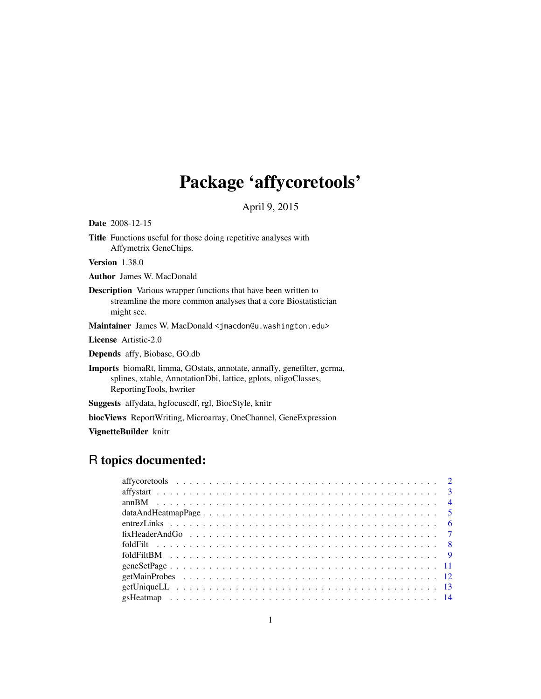# Package 'affycoretools'

April 9, 2015

<span id="page-0-0"></span>

| <b>Date</b> 2008-12-15                                                                                                                                                     |
|----------------------------------------------------------------------------------------------------------------------------------------------------------------------------|
| <b>Title</b> Functions useful for those doing repetitive analyses with<br>Affymetrix GeneChips.                                                                            |
| <b>Version</b> 1.38.0                                                                                                                                                      |
| <b>Author</b> James W. MacDonald                                                                                                                                           |
| <b>Description</b> Various wrapper functions that have been written to<br>streamline the more common analyses that a core Biostatistician<br>might see.                    |
| Maintainer James W. MacDonald < jmacdon@u.washington.edu>                                                                                                                  |
| <b>License</b> Artistic-2.0                                                                                                                                                |
| <b>Depends</b> affy, Biobase, GO.db                                                                                                                                        |
| <b>Imports</b> biomaRt, limma, GOstats, annotate, annaffy, genefilter, gcrma,<br>splines, xtable, AnnotationDbi, lattice, gplots, oligoClasses,<br>ReportingTools, hwriter |
| <b>Suggests</b> affydata, hgfocuscdf, rgl, BiocStyle, knitr                                                                                                                |
| <b>biocViews</b> ReportWriting, Microarray, OneChannel, GeneExpression                                                                                                     |
| VignetteBuilder knitr                                                                                                                                                      |

## R topics documented: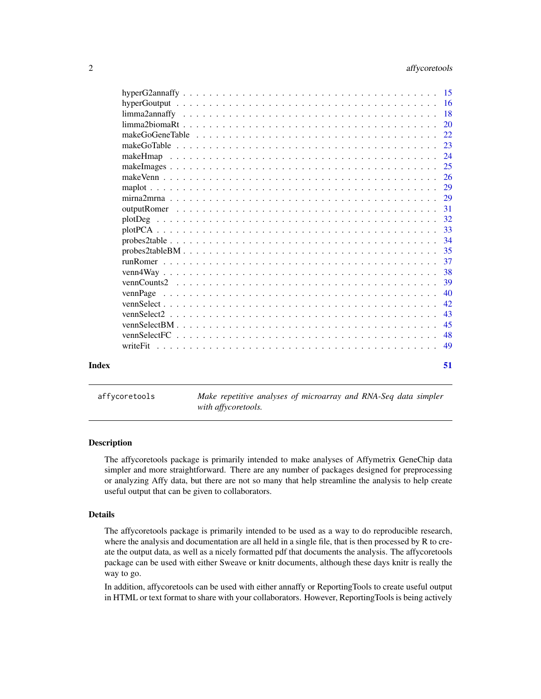<span id="page-1-0"></span>

|       | 23 |
|-------|----|
|       |    |
|       |    |
|       |    |
|       |    |
|       |    |
|       |    |
|       |    |
|       |    |
|       |    |
|       | 35 |
|       |    |
|       | 38 |
|       | 39 |
|       | 40 |
|       | 42 |
|       | 43 |
|       | 45 |
|       |    |
|       |    |
|       |    |
| Index | 51 |
|       |    |

affycoretools *Make repetitive analyses of microarray and RNA-Seq data simpler with affycoretools.*

#### Description

The affycoretools package is primarily intended to make analyses of Affymetrix GeneChip data simpler and more straightforward. There are any number of packages designed for preprocessing or analyzing Affy data, but there are not so many that help streamline the analysis to help create useful output that can be given to collaborators.

#### Details

The affycoretools package is primarily intended to be used as a way to do reproducible research, where the analysis and documentation are all held in a single file, that is then processed by R to create the output data, as well as a nicely formatted pdf that documents the analysis. The affycoretools package can be used with either Sweave or knitr documents, although these days knitr is really the way to go.

In addition, affycoretools can be used with either annaffy or ReportingTools to create useful output in HTML or text format to share with your collaborators. However, ReportingTools is being actively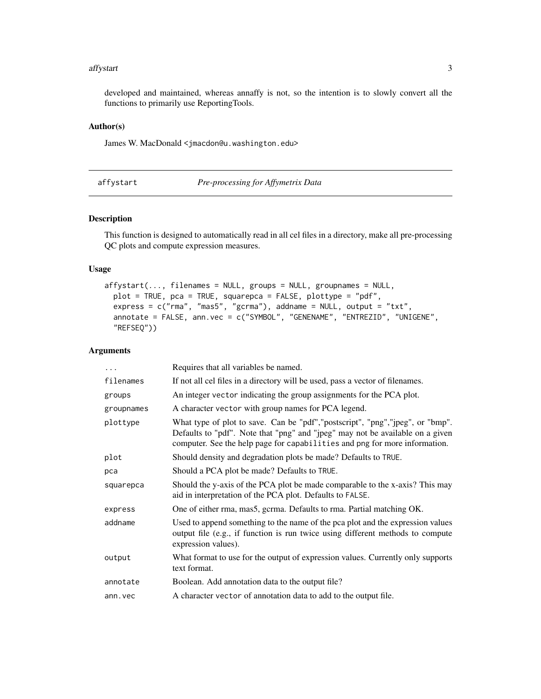#### <span id="page-2-0"></span>affystart 3

developed and maintained, whereas annaffy is not, so the intention is to slowly convert all the functions to primarily use ReportingTools.

#### Author(s)

James W. MacDonald <jmacdon@u.washington.edu>

affystart *Pre-processing for Affymetrix Data*

#### Description

This function is designed to automatically read in all cel files in a directory, make all pre-processing QC plots and compute expression measures.

#### Usage

```
affystart(..., filenames = NULL, groups = NULL, groupnames = NULL,
 plot = TRUE, pca = TRUE, squarepca = FALSE, plottype = "pdf",
 express = c("rma", "mas5", "gcrma"), addname = NULL, output = "txt",
  annotate = FALSE, ann.vec = c("SYMBOL", "GENENAME", "ENTREZID", "UNIGENE",
  "REFSEQ"))
```

| .          | Requires that all variables be named.                                                                                                                                                                                                          |
|------------|------------------------------------------------------------------------------------------------------------------------------------------------------------------------------------------------------------------------------------------------|
| filenames  | If not all cel files in a directory will be used, pass a vector of filenames.                                                                                                                                                                  |
| groups     | An integer vector indicating the group assignments for the PCA plot.                                                                                                                                                                           |
| groupnames | A character vector with group names for PCA legend.                                                                                                                                                                                            |
| plottype   | What type of plot to save. Can be "pdf", "postscript", "png", "jpeg", or "bmp".<br>Defaults to "pdf". Note that "png" and "jpeg" may not be available on a given<br>computer. See the help page for capabilities and png for more information. |
| plot       | Should density and degradation plots be made? Defaults to TRUE.                                                                                                                                                                                |
| pca        | Should a PCA plot be made? Defaults to TRUE.                                                                                                                                                                                                   |
| squarepca  | Should the y-axis of the PCA plot be made comparable to the x-axis? This may<br>aid in interpretation of the PCA plot. Defaults to FALSE.                                                                                                      |
| express    | One of either rma, mas5, gcrma. Defaults to rma. Partial matching OK.                                                                                                                                                                          |
| addname    | Used to append something to the name of the pca plot and the expression values<br>output file (e.g., if function is run twice using different methods to compute<br>expression values).                                                        |
| output     | What format to use for the output of expression values. Currently only supports<br>text format.                                                                                                                                                |
| annotate   | Boolean. Add annotation data to the output file?                                                                                                                                                                                               |
| ann. vec   | A character vector of annotation data to add to the output file.                                                                                                                                                                               |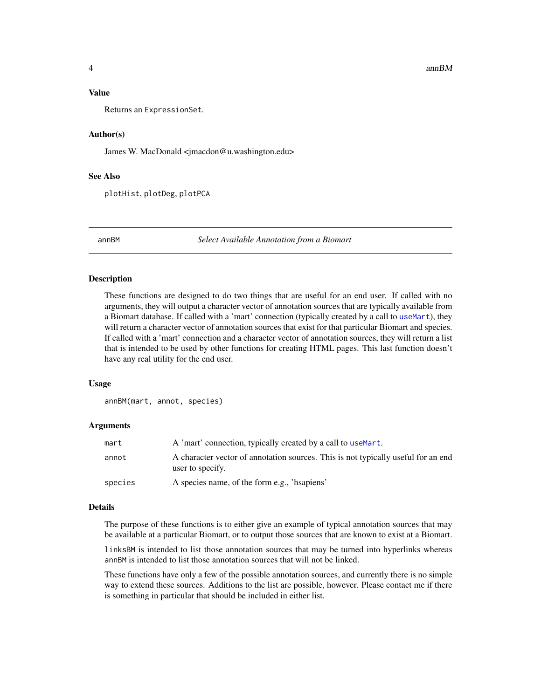#### <span id="page-3-0"></span>Value

Returns an ExpressionSet.

#### Author(s)

James W. MacDonald <jmacdon@u.washington.edu>

#### See Also

plotHist, plotDeg, plotPCA

annBM *Select Available Annotation from a Biomart*

#### Description

These functions are designed to do two things that are useful for an end user. If called with no arguments, they will output a character vector of annotation sources that are typically available from a Biomart database. If called with a 'mart' connection (typically created by a call to [useMart](#page-0-0)), they will return a character vector of annotation sources that exist for that particular Biomart and species. If called with a 'mart' connection and a character vector of annotation sources, they will return a list that is intended to be used by other functions for creating HTML pages. This last function doesn't have any real utility for the end user.

#### Usage

```
annBM(mart, annot, species)
```
#### Arguments

| mart    | A 'mart' connection, typically created by a call to use Mart.                                         |
|---------|-------------------------------------------------------------------------------------------------------|
| annot   | A character vector of annotation sources. This is not typically useful for an end<br>user to specify. |
| species | A species name, of the form e.g., 'happiens'                                                          |

#### Details

The purpose of these functions is to either give an example of typical annotation sources that may be available at a particular Biomart, or to output those sources that are known to exist at a Biomart.

linksBM is intended to list those annotation sources that may be turned into hyperlinks whereas annBM is intended to list those annotation sources that will not be linked.

These functions have only a few of the possible annotation sources, and currently there is no simple way to extend these sources. Additions to the list are possible, however. Please contact me if there is something in particular that should be included in either list.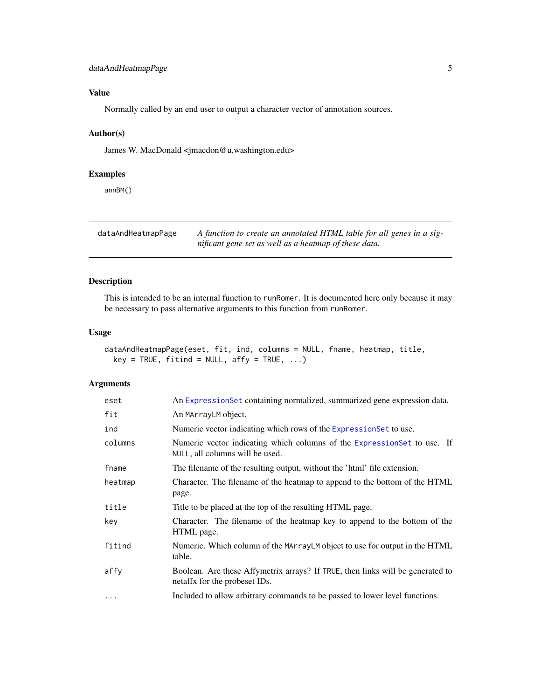#### <span id="page-4-0"></span>dataAndHeatmapPage 5

#### Value

Normally called by an end user to output a character vector of annotation sources.

#### Author(s)

James W. MacDonald <jmacdon@u.washington.edu>

#### Examples

annBM()

dataAndHeatmapPage *A function to create an annotated HTML table for all genes in a significant gene set as well as a heatmap of these data.*

#### Description

This is intended to be an internal function to runRomer. It is documented here only because it may be necessary to pass alternative arguments to this function from runRomer.

#### Usage

dataAndHeatmapPage(eset, fit, ind, columns = NULL, fname, heatmap, title,  $key = TRUE, fitind = NULL, affy = TRUE, ...)$ 

| eset     | An ExpressionSet containing normalized, summarized gene expression data.                                        |
|----------|-----------------------------------------------------------------------------------------------------------------|
| fit      | An MArrayLM object.                                                                                             |
| ind      | Numeric vector indicating which rows of the Expression Set to use.                                              |
| columns  | Numeric vector indicating which columns of the ExpressionSet to use. If<br>NULL, all columns will be used.      |
| fname    | The filename of the resulting output, without the 'html' file extension.                                        |
| heatmap  | Character. The filename of the heatmap to append to the bottom of the HTML<br>page.                             |
| title    | Title to be placed at the top of the resulting HTML page.                                                       |
| key      | Character. The filename of the heatmap key to append to the bottom of the<br>HTML page.                         |
| fitind   | Numeric. Which column of the MArrayLM object to use for output in the HTML<br>table.                            |
| affy     | Boolean. Are these Affymetrix arrays? If TRUE, then links will be generated to<br>netaffx for the probeset IDs. |
| $\cdots$ | Included to allow arbitrary commands to be passed to lower level functions.                                     |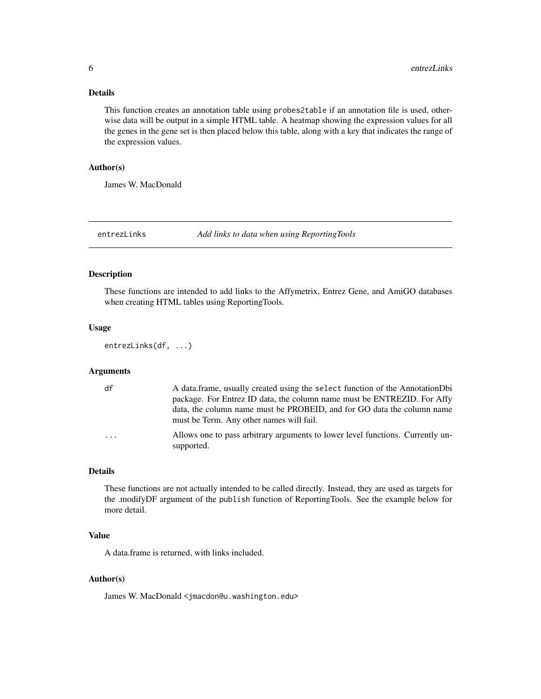#### <span id="page-5-0"></span>Details

This function creates an annotation table using probes2table if an annotation file is used, otherwise data will be output in a simple HTML table. A heatmap showing the expression values for all the genes in the gene set is then placed below this table, along with a key that indicates the range of the expression values.

#### Author(s)

James W. MacDonald

entrezLinks *Add links to data when using ReportingTools*

#### Description

These functions are intended to add links to the Affymetrix, Entrez Gene, and AmiGO databases when creating HTML tables using ReportingTools.

#### Usage

```
entrezLinks(df, ...)
```
#### Arguments

| df                      | A data frame, usually created using the select function of the Annotation Dbi<br>package. For Entrez ID data, the column name must be ENTREZID. For Affy<br>data, the column name must be PROBEID, and for GO data the column name<br>must be Term. Any other names will fail. |
|-------------------------|--------------------------------------------------------------------------------------------------------------------------------------------------------------------------------------------------------------------------------------------------------------------------------|
| $\cdot$ $\cdot$ $\cdot$ | Allows one to pass arbitrary arguments to lower level functions. Currently un-<br>supported.                                                                                                                                                                                   |

#### Details

These functions are not actually intended to be called directly. Instead, they are used as targets for the .modifyDF argument of the publish function of ReportingTools. See the example below for more detail.

#### Value

A data.frame is returned, with links included.

#### Author(s)

James W. MacDonald <jmacdon@u.washington.edu>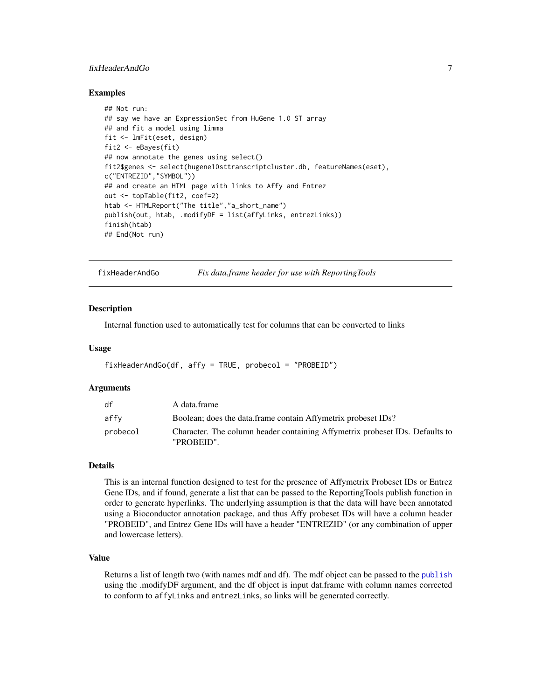#### <span id="page-6-0"></span>fixHeaderAndGo 7

#### Examples

```
## Not run:
## say we have an ExpressionSet from HuGene 1.0 ST array
## and fit a model using limma
fit <- lmFit(eset, design)
fit2 <- eBayes(fit)
## now annotate the genes using select()
fit2$genes <- select(hugene10sttranscriptcluster.db, featureNames(eset),
c("ENTREZID","SYMBOL"))
## and create an HTML page with links to Affy and Entrez
out <- topTable(fit2, coef=2)
htab <- HTMLReport("The title","a_short_name")
publish(out, htab, .modifyDF = list(affyLinks, entrezLinks))
finish(htab)
## End(Not run)
```
fixHeaderAndGo *Fix data.frame header for use with ReportingTools*

#### **Description**

Internal function used to automatically test for columns that can be converted to links

#### Usage

fixHeaderAndGo(df, affy = TRUE, probecol = "PROBEID")

#### Arguments

| df       | A data.frame                                                                               |
|----------|--------------------------------------------------------------------------------------------|
| affv     | Boolean; does the data frame contain Affymetrix probeset IDs?                              |
| probecol | Character. The column header containing Affymetrix probeset IDs. Defaults to<br>"PROBEID". |

#### Details

This is an internal function designed to test for the presence of Affymetrix Probeset IDs or Entrez Gene IDs, and if found, generate a list that can be passed to the ReportingTools publish function in order to generate hyperlinks. The underlying assumption is that the data will have been annotated using a Bioconductor annotation package, and thus Affy probeset IDs will have a column header "PROBEID", and Entrez Gene IDs will have a header "ENTREZID" (or any combination of upper and lowercase letters).

#### Value

Returns a list of length two (with names mdf and df). The mdf object can be passed to the [publish](#page-0-0) using the .modifyDF argument, and the df object is input dat.frame with column names corrected to conform to affyLinks and entrezLinks, so links will be generated correctly.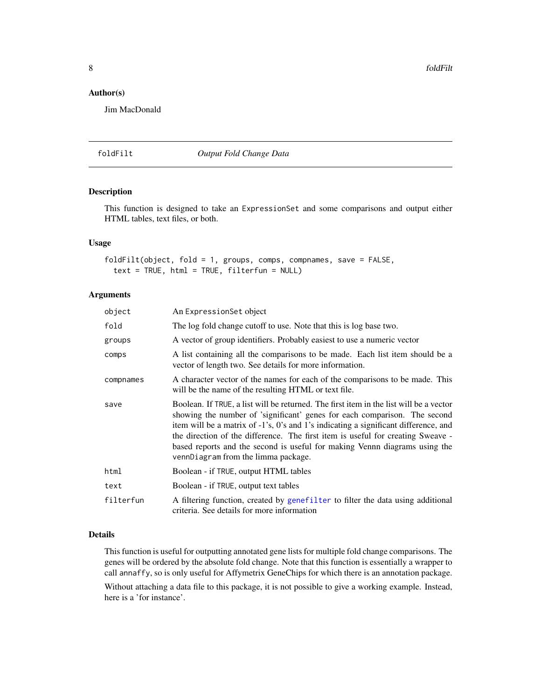<span id="page-7-0"></span>8 foldFilt

#### Author(s)

Jim MacDonald

foldFilt *Output Fold Change Data*

#### Description

This function is designed to take an ExpressionSet and some comparisons and output either HTML tables, text files, or both.

#### Usage

```
foldFilt(object, fold = 1, groups, comps, compnames, save = FALSE,
  text = TRUE, html = TRUE, filterfun = NULL)
```
#### Arguments

| object    | An ExpressionSet object                                                                                                                                                                                                                                                                                                                                                                                                                                            |
|-----------|--------------------------------------------------------------------------------------------------------------------------------------------------------------------------------------------------------------------------------------------------------------------------------------------------------------------------------------------------------------------------------------------------------------------------------------------------------------------|
| fold      | The log fold change cutoff to use. Note that this is log base two.                                                                                                                                                                                                                                                                                                                                                                                                 |
| groups    | A vector of group identifiers. Probably easiest to use a numeric vector                                                                                                                                                                                                                                                                                                                                                                                            |
| comps     | A list containing all the comparisons to be made. Each list item should be a<br>vector of length two. See details for more information.                                                                                                                                                                                                                                                                                                                            |
| compnames | A character vector of the names for each of the comparisons to be made. This<br>will be the name of the resulting HTML or text file.                                                                                                                                                                                                                                                                                                                               |
| save      | Boolean. If TRUE, a list will be returned. The first item in the list will be a vector<br>showing the number of 'significant' genes for each comparison. The second<br>item will be a matrix of -1's, 0's and 1's indicating a significant difference, and<br>the direction of the difference. The first item is useful for creating Sweave -<br>based reports and the second is useful for making Vennn diagrams using the<br>vennDiagram from the limma package. |
| html      | Boolean - if TRUE, output HTML tables                                                                                                                                                                                                                                                                                                                                                                                                                              |
| text      | Boolean - if TRUE, output text tables                                                                                                                                                                                                                                                                                                                                                                                                                              |
| filterfun | A filtering function, created by genefilter to filter the data using additional<br>criteria. See details for more information                                                                                                                                                                                                                                                                                                                                      |

#### Details

This function is useful for outputting annotated gene lists for multiple fold change comparisons. The genes will be ordered by the absolute fold change. Note that this function is essentially a wrapper to call annaffy, so is only useful for Affymetrix GeneChips for which there is an annotation package.

Without attaching a data file to this package, it is not possible to give a working example. Instead, here is a 'for instance'.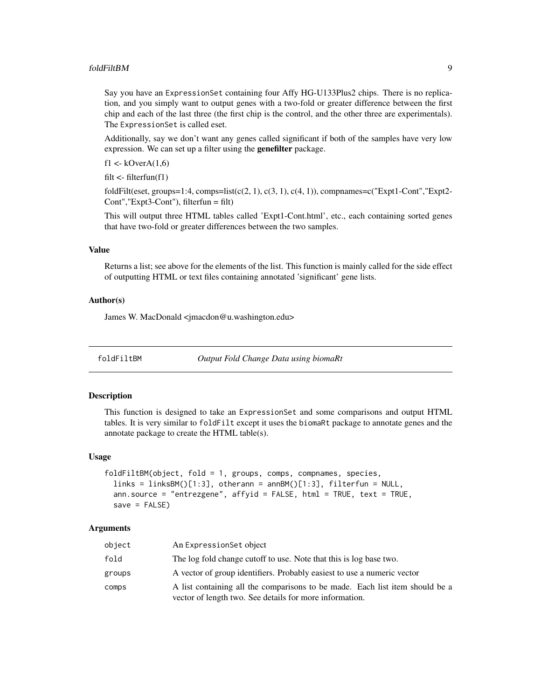#### <span id="page-8-0"></span>foldFiltBM 9

Say you have an ExpressionSet containing four Affy HG-U133Plus2 chips. There is no replication, and you simply want to output genes with a two-fold or greater difference between the first chip and each of the last three (the first chip is the control, and the other three are experimentals). The ExpressionSet is called eset.

Additionally, say we don't want any genes called significant if both of the samples have very low expression. We can set up a filter using the **genefilter** package.

f1 <- $kOverA(1,6)$ 

filt  $\leq$ -filterfun(f1)

foldFilt(eset, groups=1:4, comps=list(c(2, 1), c(3, 1), c(4, 1)), compnames=c("Expt1-Cont","Expt2-Cont", "Expt $3$ -Cont"), filterfun = filt)

This will output three HTML tables called 'Expt1-Cont.html', etc., each containing sorted genes that have two-fold or greater differences between the two samples.

#### Value

Returns a list; see above for the elements of the list. This function is mainly called for the side effect of outputting HTML or text files containing annotated 'significant' gene lists.

#### Author(s)

James W. MacDonald <jmacdon@u.washington.edu>

foldFiltBM *Output Fold Change Data using biomaRt*

#### Description

This function is designed to take an ExpressionSet and some comparisons and output HTML tables. It is very similar to foldFilt except it uses the biomaRt package to annotate genes and the annotate package to create the HTML table(s).

#### Usage

```
foldFiltBM(object, fold = 1, groups, comps, compnames, species,
  links = linksBM()[1:3], other, an BMA()[1:3], filterfun = NULL,ann.source = "entrezgene", affyid = FALSE, html = TRUE, text = TRUE,
  save = FALSE)
```

| object | An Expression Set object                                                                                                                |
|--------|-----------------------------------------------------------------------------------------------------------------------------------------|
| fold   | The log fold change cutoff to use. Note that this is log base two.                                                                      |
| groups | A vector of group identifiers. Probably easiest to use a numeric vector                                                                 |
| comps  | A list containing all the comparisons to be made. Each list item should be a<br>vector of length two. See details for more information. |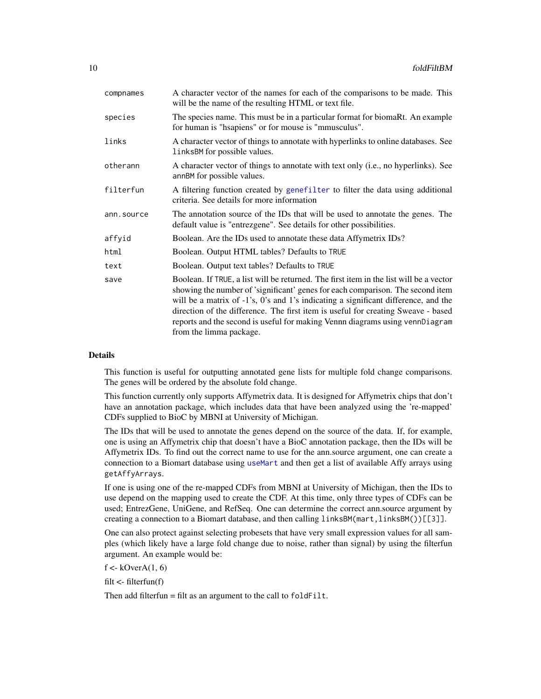| species<br>for human is "hsapiens" or for mouse is "mmusculus".<br>links<br>linksBM for possible values.<br>otherann<br>annBM for possible values.<br>filterfun<br>criteria. See details for more information<br>ann.source<br>default value is "entrezgene". See details for other possibilities.<br>affyid<br>Boolean. Are the IDs used to annotate these data Affymetrix IDs?<br>Boolean. Output HTML tables? Defaults to TRUE<br>html<br>Boolean. Output text tables? Defaults to TRUE<br>text<br>save<br>from the limma package. | compnames | A character vector of the names for each of the comparisons to be made. This<br>will be the name of the resulting HTML or text file.                                                                                                                                                                                                                                                                                                |
|---------------------------------------------------------------------------------------------------------------------------------------------------------------------------------------------------------------------------------------------------------------------------------------------------------------------------------------------------------------------------------------------------------------------------------------------------------------------------------------------------------------------------------------|-----------|-------------------------------------------------------------------------------------------------------------------------------------------------------------------------------------------------------------------------------------------------------------------------------------------------------------------------------------------------------------------------------------------------------------------------------------|
|                                                                                                                                                                                                                                                                                                                                                                                                                                                                                                                                       |           | The species name. This must be in a particular format for biomaRt. An example                                                                                                                                                                                                                                                                                                                                                       |
|                                                                                                                                                                                                                                                                                                                                                                                                                                                                                                                                       |           | A character vector of things to annotate with hyperlinks to online databases. See                                                                                                                                                                                                                                                                                                                                                   |
|                                                                                                                                                                                                                                                                                                                                                                                                                                                                                                                                       |           | A character vector of things to annotate with text only (i.e., no hyperlinks). See                                                                                                                                                                                                                                                                                                                                                  |
|                                                                                                                                                                                                                                                                                                                                                                                                                                                                                                                                       |           | A filtering function created by genefilter to filter the data using additional                                                                                                                                                                                                                                                                                                                                                      |
|                                                                                                                                                                                                                                                                                                                                                                                                                                                                                                                                       |           | The annotation source of the IDs that will be used to annotate the genes. The                                                                                                                                                                                                                                                                                                                                                       |
|                                                                                                                                                                                                                                                                                                                                                                                                                                                                                                                                       |           |                                                                                                                                                                                                                                                                                                                                                                                                                                     |
|                                                                                                                                                                                                                                                                                                                                                                                                                                                                                                                                       |           |                                                                                                                                                                                                                                                                                                                                                                                                                                     |
|                                                                                                                                                                                                                                                                                                                                                                                                                                                                                                                                       |           |                                                                                                                                                                                                                                                                                                                                                                                                                                     |
|                                                                                                                                                                                                                                                                                                                                                                                                                                                                                                                                       |           | Boolean. If TRUE, a list will be returned. The first item in the list will be a vector<br>showing the number of 'significant' genes for each comparison. The second item<br>will be a matrix of -1's, 0's and 1's indicating a significant difference, and the<br>direction of the difference. The first item is useful for creating Sweave - based<br>reports and the second is useful for making Vennn diagrams using vennDiagram |

#### Details

This function is useful for outputting annotated gene lists for multiple fold change comparisons. The genes will be ordered by the absolute fold change.

This function currently only supports Affymetrix data. It is designed for Affymetrix chips that don't have an annotation package, which includes data that have been analyzed using the 're-mapped' CDFs supplied to BioC by MBNI at University of Michigan.

The IDs that will be used to annotate the genes depend on the source of the data. If, for example, one is using an Affymetrix chip that doesn't have a BioC annotation package, then the IDs will be Affymetrix IDs. To find out the correct name to use for the ann.source argument, one can create a connection to a Biomart database using [useMart](#page-0-0) and then get a list of available Affy arrays using getAffyArrays.

If one is using one of the re-mapped CDFs from MBNI at University of Michigan, then the IDs to use depend on the mapping used to create the CDF. At this time, only three types of CDFs can be used; EntrezGene, UniGene, and RefSeq. One can determine the correct ann.source argument by creating a connection to a Biomart database, and then calling linksBM(mart,linksBM())[[3]].

One can also protect against selecting probesets that have very small expression values for all samples (which likely have a large fold change due to noise, rather than signal) by using the filterfun argument. An example would be:

 $f < kOverA(1, 6)$ 

filt <- filterfun(f)

Then add filterfun  $=$  filt as an argument to the call to  $f$ old $F$ ilt.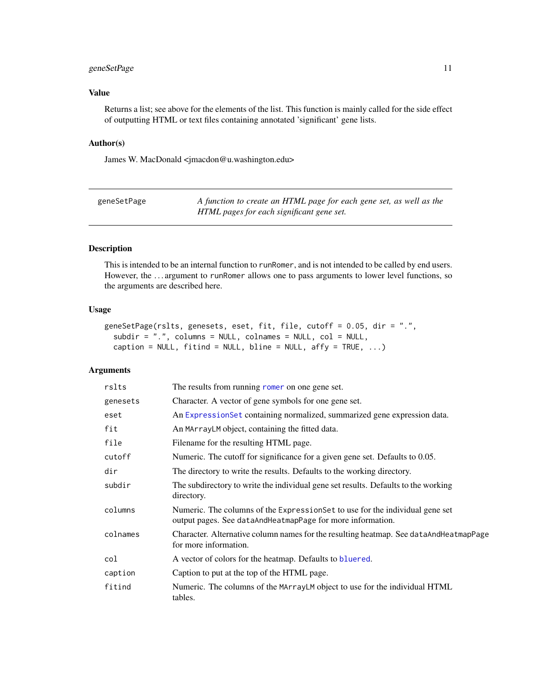#### <span id="page-10-0"></span>geneSetPage 11

#### Value

Returns a list; see above for the elements of the list. This function is mainly called for the side effect of outputting HTML or text files containing annotated 'significant' gene lists.

#### Author(s)

James W. MacDonald <jmacdon@u.washington.edu>

| geneSetPage | A function to create an HTML page for each gene set, as well as the |
|-------------|---------------------------------------------------------------------|
|             | HTML pages for each significant gene set.                           |

#### Description

This is intended to be an internal function to runRomer, and is not intended to be called by end users. However, the ... argument to runRomer allows one to pass arguments to lower level functions, so the arguments are described here.

#### Usage

```
geneSetPage(rslts, genesets, eset, fit, file, cutoff = 0.05, dir = ".",
  subdir = ".", colums = NULL, colname = NULL, col = NULL,
 caption = NULL, fitind = NULL, bline = NULL, affy = TRUE, \dots)
```

| rslts    | The results from running romer on one gene set.                                                                                             |
|----------|---------------------------------------------------------------------------------------------------------------------------------------------|
| genesets | Character. A vector of gene symbols for one gene set.                                                                                       |
| eset     | An ExpressionSet containing normalized, summarized gene expression data.                                                                    |
| fit      | An MArrayLM object, containing the fitted data.                                                                                             |
| file     | Filename for the resulting HTML page.                                                                                                       |
| cutoff   | Numeric. The cutoff for significance for a given gene set. Defaults to 0.05.                                                                |
| dir      | The directory to write the results. Defaults to the working directory.                                                                      |
| subdir   | The subdirectory to write the individual gene set results. Defaults to the working<br>directory.                                            |
| columns  | Numeric. The columns of the Expression Set to use for the individual gene set<br>output pages. See dataAndHeatmapPage for more information. |
| colnames | Character. Alternative column names for the resulting heatmap. See dataAndHeatmapPage<br>for more information.                              |
| col      | A vector of colors for the heatmap. Defaults to bluered.                                                                                    |
| caption  | Caption to put at the top of the HTML page.                                                                                                 |
| fitind   | Numeric. The columns of the MArrayLM object to use for the individual HTML<br>tables.                                                       |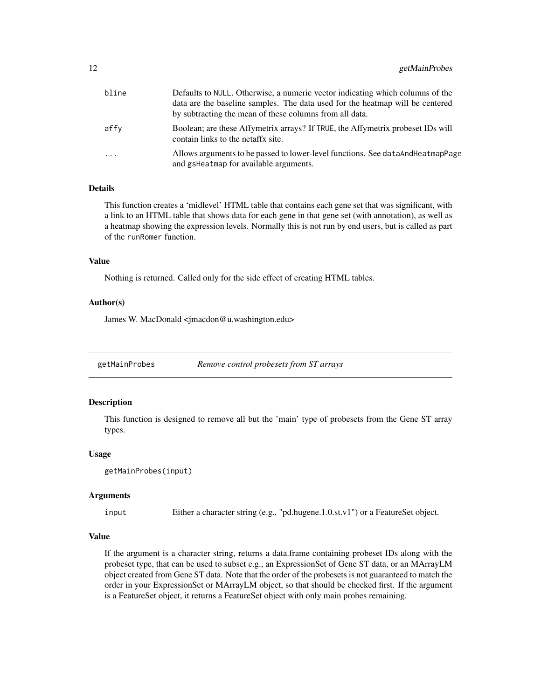<span id="page-11-0"></span>

| bline | Defaults to NULL. Otherwise, a numeric vector indicating which columns of the<br>data are the baseline samples. The data used for the heatmap will be centered<br>by subtracting the mean of these columns from all data. |
|-------|---------------------------------------------------------------------------------------------------------------------------------------------------------------------------------------------------------------------------|
| affy  | Boolean; are these Affymetrix arrays? If TRUE, the Affymetrix probeset IDs will<br>contain links to the netaffx site.                                                                                                     |
| .     | Allows arguments to be passed to lower-level functions. See dataAndHeatmapPage<br>and gsHeatmap for available arguments.                                                                                                  |

#### Details

This function creates a 'midlevel' HTML table that contains each gene set that was significant, with a link to an HTML table that shows data for each gene in that gene set (with annotation), as well as a heatmap showing the expression levels. Normally this is not run by end users, but is called as part of the runRomer function.

#### Value

Nothing is returned. Called only for the side effect of creating HTML tables.

#### Author(s)

James W. MacDonald <jmacdon@u.washington.edu>

getMainProbes *Remove control probesets from ST arrays*

#### Description

This function is designed to remove all but the 'main' type of probesets from the Gene ST array types.

#### Usage

getMainProbes(input)

#### Arguments

input Either a character string (e.g., "pd.hugene.1.0.st.v1") or a FeatureSet object.

#### Value

If the argument is a character string, returns a data.frame containing probeset IDs along with the probeset type, that can be used to subset e.g., an ExpressionSet of Gene ST data, or an MArrayLM object created from Gene ST data. Note that the order of the probesets is not guaranteed to match the order in your ExpressionSet or MArrayLM object, so that should be checked first. If the argument is a FeatureSet object, it returns a FeatureSet object with only main probes remaining.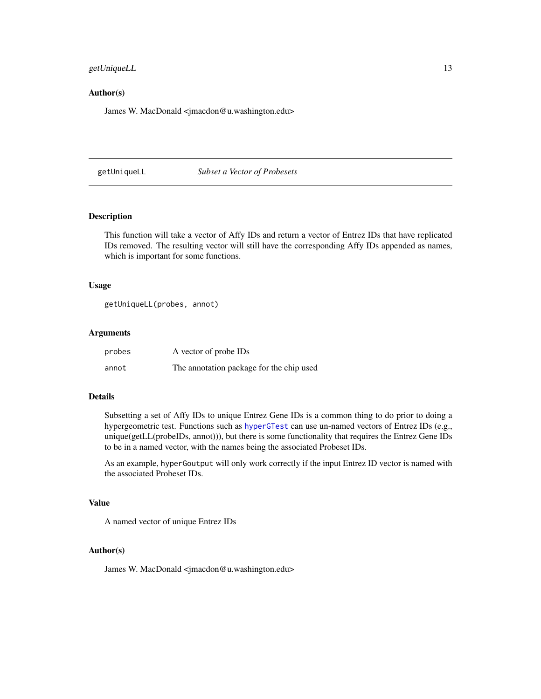#### <span id="page-12-0"></span>getUniqueLL 13

#### Author(s)

James W. MacDonald <jmacdon@u.washington.edu>

#### getUniqueLL *Subset a Vector of Probesets*

#### Description

This function will take a vector of Affy IDs and return a vector of Entrez IDs that have replicated IDs removed. The resulting vector will still have the corresponding Affy IDs appended as names, which is important for some functions.

#### Usage

```
getUniqueLL(probes, annot)
```
#### Arguments

| probes | A vector of probe IDs                    |
|--------|------------------------------------------|
| annot  | The annotation package for the chip used |

#### Details

Subsetting a set of Affy IDs to unique Entrez Gene IDs is a common thing to do prior to doing a hypergeometric test. Functions such as [hyperGTest](#page-0-0) can use un-named vectors of Entrez IDs (e.g., unique(getLL(probeIDs, annot))), but there is some functionality that requires the Entrez Gene IDs to be in a named vector, with the names being the associated Probeset IDs.

As an example, hyperGoutput will only work correctly if the input Entrez ID vector is named with the associated Probeset IDs.

#### Value

A named vector of unique Entrez IDs

#### Author(s)

James W. MacDonald <jmacdon@u.washington.edu>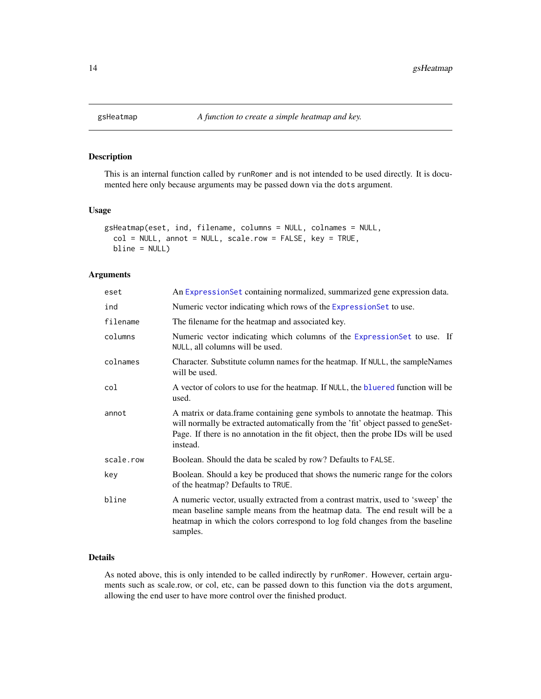<span id="page-13-0"></span>

#### Description

This is an internal function called by runRomer and is not intended to be used directly. It is documented here only because arguments may be passed down via the dots argument.

#### Usage

```
gsHeatmap(eset, ind, filename, columns = NULL, colnames = NULL,
  col = NULL, annot = NULL, scale.row = FALSE, key = TRUE,
 bline = NULL)
```
#### Arguments

| eset      | An ExpressionSet containing normalized, summarized gene expression data.                                                                                                                                                                                            |  |
|-----------|---------------------------------------------------------------------------------------------------------------------------------------------------------------------------------------------------------------------------------------------------------------------|--|
| ind       | Numeric vector indicating which rows of the ExpressionSet to use.                                                                                                                                                                                                   |  |
| filename  | The filename for the heatmap and associated key.                                                                                                                                                                                                                    |  |
| columns   | Numeric vector indicating which columns of the ExpressionSet to use. If<br>NULL, all columns will be used.                                                                                                                                                          |  |
| colnames  | Character. Substitute column names for the heatmap. If NULL, the sampleNames<br>will be used.                                                                                                                                                                       |  |
| col       | A vector of colors to use for the heatmap. If NULL, the bluered function will be<br>used.                                                                                                                                                                           |  |
| annot     | A matrix or data.frame containing gene symbols to annotate the heatmap. This<br>will normally be extracted automatically from the 'fit' object passed to geneSet-<br>Page. If there is no annotation in the fit object, then the probe IDs will be used<br>instead. |  |
| scale.row | Boolean. Should the data be scaled by row? Defaults to FALSE.                                                                                                                                                                                                       |  |
| key       | Boolean. Should a key be produced that shows the numeric range for the colors<br>of the heatmap? Defaults to TRUE.                                                                                                                                                  |  |
| bline     | A numeric vector, usually extracted from a contrast matrix, used to 'sweep' the<br>mean baseline sample means from the heatmap data. The end result will be a<br>heatmap in which the colors correspond to log fold changes from the baseline<br>samples.           |  |

#### Details

As noted above, this is only intended to be called indirectly by runRomer. However, certain arguments such as scale.row, or col, etc, can be passed down to this function via the dots argument, allowing the end user to have more control over the finished product.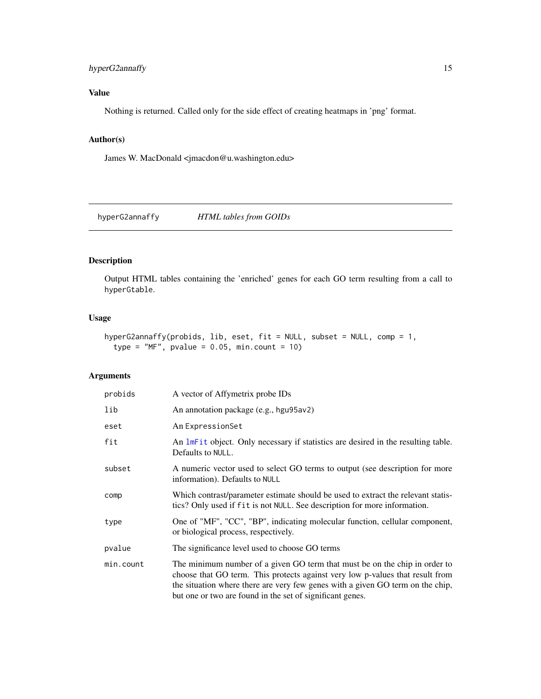### <span id="page-14-0"></span>hyperG2annaffy 15

#### Value

Nothing is returned. Called only for the side effect of creating heatmaps in 'png' format.

#### Author(s)

James W. MacDonald <jmacdon@u.washington.edu>

hyperG2annaffy *HTML tables from GOIDs*

#### Description

Output HTML tables containing the 'enriched' genes for each GO term resulting from a call to hyperGtable.

#### Usage

```
hyperG2annaffy(probids, lib, eset, fit = NULL, subset = NULL, comp = 1,
  type = "MF", pvalue = 0.05, min.count = 10)
```

| probids   | A vector of Affymetrix probe IDs                                                                                                                                                                                                                                                                           |
|-----------|------------------------------------------------------------------------------------------------------------------------------------------------------------------------------------------------------------------------------------------------------------------------------------------------------------|
| lib       | An annotation package (e.g., hgu95av2)                                                                                                                                                                                                                                                                     |
| eset      | An ExpressionSet                                                                                                                                                                                                                                                                                           |
| fit       | An lmFit object. Only necessary if statistics are desired in the resulting table.<br>Defaults to NULL.                                                                                                                                                                                                     |
| subset    | A numeric vector used to select GO terms to output (see description for more<br>information). Defaults to NULL                                                                                                                                                                                             |
| comp      | Which contrast/parameter estimate should be used to extract the relevant statis-<br>tics? Only used if fit is not NULL. See description for more information.                                                                                                                                              |
| type      | One of "MF", "CC", "BP", indicating molecular function, cellular component,<br>or biological process, respectively.                                                                                                                                                                                        |
| pvalue    | The significance level used to choose GO terms                                                                                                                                                                                                                                                             |
| min.count | The minimum number of a given GO term that must be on the chip in order to<br>choose that GO term. This protects against very low p-values that result from<br>the situation where there are very few genes with a given GO term on the chip,<br>but one or two are found in the set of significant genes. |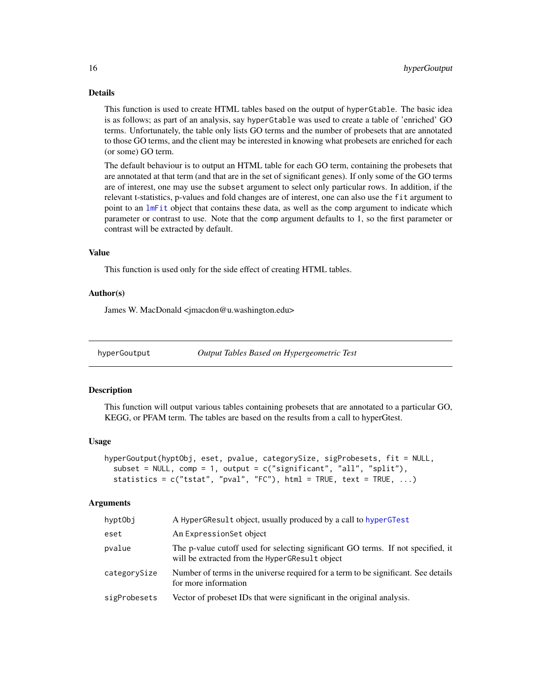#### <span id="page-15-0"></span>Details

This function is used to create HTML tables based on the output of hyperGtable. The basic idea is as follows; as part of an analysis, say hyperGtable was used to create a table of 'enriched' GO terms. Unfortunately, the table only lists GO terms and the number of probesets that are annotated to those GO terms, and the client may be interested in knowing what probesets are enriched for each (or some) GO term.

The default behaviour is to output an HTML table for each GO term, containing the probesets that are annotated at that term (and that are in the set of significant genes). If only some of the GO terms are of interest, one may use the subset argument to select only particular rows. In addition, if the relevant t-statistics, p-values and fold changes are of interest, one can also use the fit argument to point to an [lmFit](#page-0-0) object that contains these data, as well as the comp argument to indicate which parameter or contrast to use. Note that the comp argument defaults to 1, so the first parameter or contrast will be extracted by default.

#### Value

This function is used only for the side effect of creating HTML tables.

#### Author(s)

James W. MacDonald <jmacdon@u.washington.edu>

hyperGoutput *Output Tables Based on Hypergeometric Test*

#### Description

This function will output various tables containing probesets that are annotated to a particular GO, KEGG, or PFAM term. The tables are based on the results from a call to hyperGtest.

#### Usage

```
hyperGoutput(hyptObj, eset, pvalue, categorySize, sigProbesets, fit = NULL,
  subset = NULL, comp = 1, output = c("significant", "all", "split"),statistics = c("tstat", "pval", "FC"), html = TRUE, text = TRUE, ...)
```

| hyptObi      | A HyperGResult object, usually produced by a call to hyperGTest                                                                    |
|--------------|------------------------------------------------------------------------------------------------------------------------------------|
| eset         | An ExpressionSet object                                                                                                            |
| pvalue       | The p-value cutoff used for selecting significant GO terms. If not specified, it<br>will be extracted from the HyperGResult object |
| categorySize | Number of terms in the universe required for a term to be significant. See details<br>for more information                         |
| sigProbesets | Vector of probeset IDs that were significant in the original analysis.                                                             |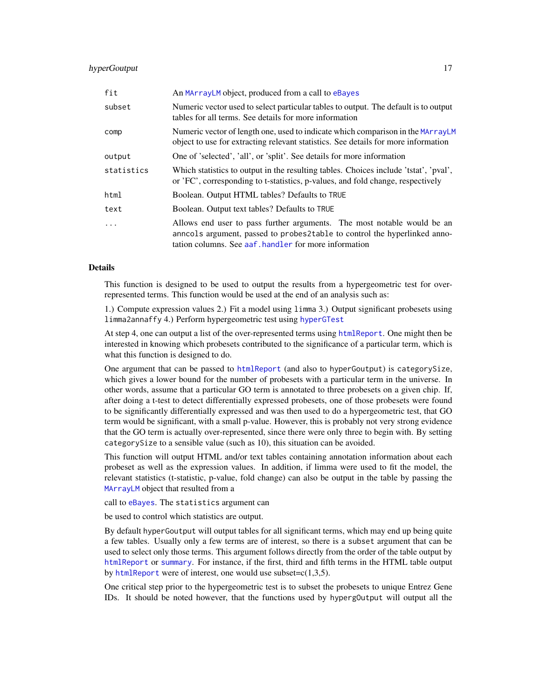#### hyperGoutput 17

| fit        | An MArrayLM object, produced from a call to eBayes                                                                                                                                                            |
|------------|---------------------------------------------------------------------------------------------------------------------------------------------------------------------------------------------------------------|
| subset     | Numeric vector used to select particular tables to output. The default is to output<br>tables for all terms. See details for more information                                                                 |
| comp       | Numeric vector of length one, used to indicate which comparison in the MArrayLM<br>object to use for extracting relevant statistics. See details for more information                                         |
| output     | One of 'selected', 'all', or 'split'. See details for more information                                                                                                                                        |
| statistics | Which statistics to output in the resulting tables. Choices include 'tstat', 'pval',<br>or 'FC', corresponding to t-statistics, p-values, and fold change, respectively                                       |
| html       | Boolean. Output HTML tables? Defaults to TRUE                                                                                                                                                                 |
| text       | Boolean. Output text tables? Defaults to TRUE                                                                                                                                                                 |
| $\ddotsc$  | Allows end user to pass further arguments. The most notable would be an<br>anncols argument, passed to probes2table to control the hyperlinked anno-<br>tation columns. See aaf, handler for more information |

#### Details

This function is designed to be used to output the results from a hypergeometric test for overrepresented terms. This function would be used at the end of an analysis such as:

1.) Compute expression values 2.) Fit a model using limma 3.) Output significant probesets using limma2annaffy 4.) Perform hypergeometric test using [hyperGTest](#page-0-0)

At step 4, one can output a list of the over-represented terms using [htmlReport](#page-0-0). One might then be interested in knowing which probesets contributed to the significance of a particular term, which is what this function is designed to do.

One argument that can be passed to [htmlReport](#page-0-0) (and also to hyperGoutput) is categorySize, which gives a lower bound for the number of probesets with a particular term in the universe. In other words, assume that a particular GO term is annotated to three probesets on a given chip. If, after doing a t-test to detect differentially expressed probesets, one of those probesets were found to be significantly differentially expressed and was then used to do a hypergeometric test, that GO term would be significant, with a small p-value. However, this is probably not very strong evidence that the GO term is actually over-represented, since there were only three to begin with. By setting categorySize to a sensible value (such as 10), this situation can be avoided.

This function will output HTML and/or text tables containing annotation information about each probeset as well as the expression values. In addition, if limma were used to fit the model, the relevant statistics (t-statistic, p-value, fold change) can also be output in the table by passing the [MArrayLM](#page-0-0) object that resulted from a

call to [eBayes](#page-0-0). The statistics argument can

be used to control which statistics are output.

By default hyperGoutput will output tables for all significant terms, which may end up being quite a few tables. Usually only a few terms are of interest, so there is a subset argument that can be used to select only those terms. This argument follows directly from the order of the table output by [htmlReport](#page-0-0) or [summary](#page-0-0). For instance, if the first, third and fifth terms in the HTML table output by [htmlReport](#page-0-0) were of interest, one would use subset= $c(1,3,5)$ .

One critical step prior to the hypergeometric test is to subset the probesets to unique Entrez Gene IDs. It should be noted however, that the functions used by hypergOutput will output all the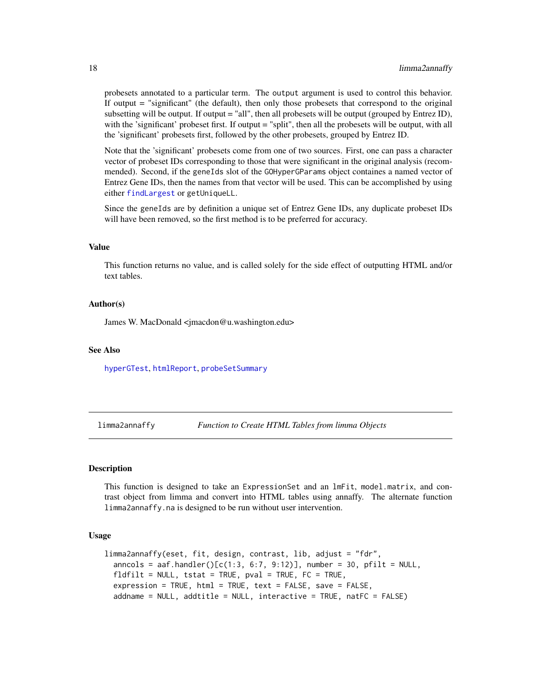probesets annotated to a particular term. The output argument is used to control this behavior. If output = "significant" (the default), then only those probesets that correspond to the original subsetting will be output. If output  $=$  "all", then all probesets will be output (grouped by Entrez ID), with the 'significant' probeset first. If output = "split", then all the probesets will be output, with all the 'significant' probesets first, followed by the other probesets, grouped by Entrez ID.

Note that the 'significant' probesets come from one of two sources. First, one can pass a character vector of probeset IDs corresponding to those that were significant in the original analysis (recommended). Second, if the geneIds slot of the GOHyperGParams object containes a named vector of Entrez Gene IDs, then the names from that vector will be used. This can be accomplished by using either [findLargest](#page-0-0) or getUniqueLL.

Since the geneIds are by definition a unique set of Entrez Gene IDs, any duplicate probeset IDs will have been removed, so the first method is to be preferred for accuracy.

#### Value

This function returns no value, and is called solely for the side effect of outputting HTML and/or text tables.

#### Author(s)

James W. MacDonald <jmacdon@u.washington.edu>

#### See Also

[hyperGTest](#page-0-0), [htmlReport](#page-0-0), [probeSetSummary](#page-0-0)

limma2annaffy *Function to Create HTML Tables from limma Objects*

#### **Description**

This function is designed to take an ExpressionSet and an lmFit, model.matrix, and contrast object from limma and convert into HTML tables using annaffy. The alternate function limma2annaffy.na is designed to be run without user intervention.

#### Usage

```
limma2annaffy(eset, fit, design, contrast, lib, adjust = "fdr",
 anncols = aaf.handler() [c(1:3, 6:7, 9:12)], number = 30, pfilt = NULL,fldfilt = NULL, tstat = TRUE, pval = TRUE, FC = TRUE,
 expression = TRUE, html = TRUE, text = FALSE, save = FALSE,
 addname = NULL, addtitle = NULL, interactive = TRUE, natFC = FALSE)
```
<span id="page-17-0"></span>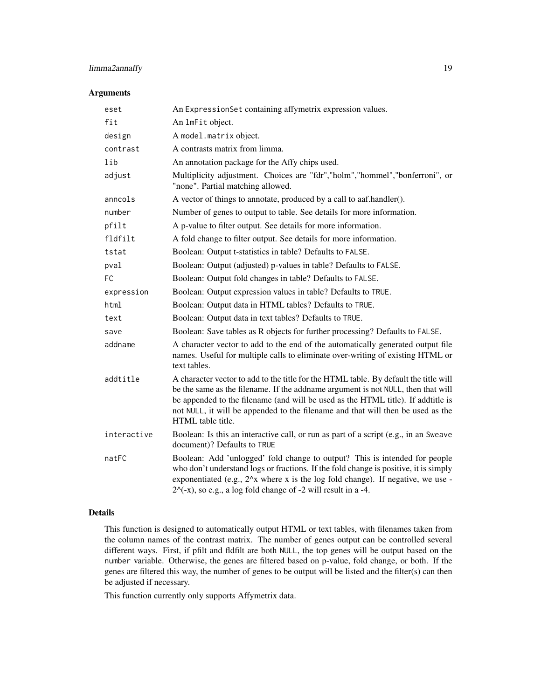### limma2annaffy 19

#### Arguments

| eset        | An ExpressionSet containing affymetrix expression values.                                                                                                                                                                                                                                                                                                            |
|-------------|----------------------------------------------------------------------------------------------------------------------------------------------------------------------------------------------------------------------------------------------------------------------------------------------------------------------------------------------------------------------|
| fit         | An ImFit object.                                                                                                                                                                                                                                                                                                                                                     |
| design      | A model.matrix object.                                                                                                                                                                                                                                                                                                                                               |
| contrast    | A contrasts matrix from limma.                                                                                                                                                                                                                                                                                                                                       |
| lib         | An annotation package for the Affy chips used.                                                                                                                                                                                                                                                                                                                       |
| adjust      | Multiplicity adjustment. Choices are "fdr","holm","hommel","bonferroni", or<br>"none". Partial matching allowed.                                                                                                                                                                                                                                                     |
| anncols     | A vector of things to annotate, produced by a call to aaf.handler().                                                                                                                                                                                                                                                                                                 |
| number      | Number of genes to output to table. See details for more information.                                                                                                                                                                                                                                                                                                |
| pfilt       | A p-value to filter output. See details for more information.                                                                                                                                                                                                                                                                                                        |
| fldfilt     | A fold change to filter output. See details for more information.                                                                                                                                                                                                                                                                                                    |
| tstat       | Boolean: Output t-statistics in table? Defaults to FALSE.                                                                                                                                                                                                                                                                                                            |
| pval        | Boolean: Output (adjusted) p-values in table? Defaults to FALSE.                                                                                                                                                                                                                                                                                                     |
| <b>FC</b>   | Boolean: Output fold changes in table? Defaults to FALSE.                                                                                                                                                                                                                                                                                                            |
| expression  | Boolean: Output expression values in table? Defaults to TRUE.                                                                                                                                                                                                                                                                                                        |
| html        | Boolean: Output data in HTML tables? Defaults to TRUE.                                                                                                                                                                                                                                                                                                               |
| text        | Boolean: Output data in text tables? Defaults to TRUE.                                                                                                                                                                                                                                                                                                               |
| save        | Boolean: Save tables as R objects for further processing? Defaults to FALSE.                                                                                                                                                                                                                                                                                         |
| addname     | A character vector to add to the end of the automatically generated output file<br>names. Useful for multiple calls to eliminate over-writing of existing HTML or<br>text tables.                                                                                                                                                                                    |
| addtitle    | A character vector to add to the title for the HTML table. By default the title will<br>be the same as the filename. If the addname argument is not NULL, then that will<br>be appended to the filename (and will be used as the HTML title). If addtitle is<br>not NULL, it will be appended to the filename and that will then be used as the<br>HTML table title. |
| interactive | Boolean: Is this an interactive call, or run as part of a script (e.g., in an Sweave<br>document)? Defaults to TRUE                                                                                                                                                                                                                                                  |
| natFC       | Boolean: Add 'unlogged' fold change to output? This is intended for people<br>who don't understand logs or fractions. If the fold change is positive, it is simply<br>exponentiated (e.g., $2^x$ x where x is the log fold change). If negative, we use -<br>$2^{\wedge}$ (-x), so e.g., a log fold change of -2 will result in a -4.                                |

#### Details

This function is designed to automatically output HTML or text tables, with filenames taken from the column names of the contrast matrix. The number of genes output can be controlled several different ways. First, if pfilt and fldfilt are both NULL, the top genes will be output based on the number variable. Otherwise, the genes are filtered based on p-value, fold change, or both. If the genes are filtered this way, the number of genes to be output will be listed and the filter(s) can then be adjusted if necessary.

This function currently only supports Affymetrix data.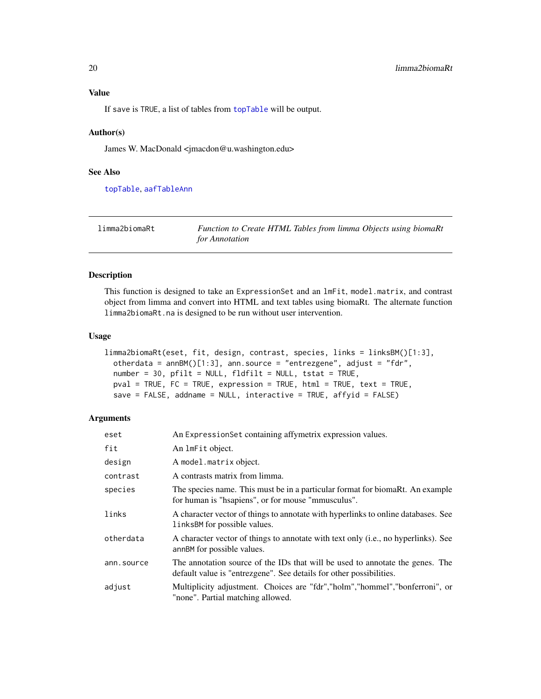#### <span id="page-19-0"></span>Value

If save is TRUE, a list of tables from [topTable](#page-0-0) will be output.

#### Author(s)

James W. MacDonald <jmacdon@u.washington.edu>

#### See Also

[topTable](#page-0-0), [aafTableAnn](#page-0-0)

| limma2biomaRt | Function to Create HTML Tables from limma Objects using biomaRt |
|---------------|-----------------------------------------------------------------|
|               | for Annotation                                                  |

#### Description

This function is designed to take an ExpressionSet and an lmFit, model.matrix, and contrast object from limma and convert into HTML and text tables using biomaRt. The alternate function limma2biomaRt.na is designed to be run without user intervention.

#### Usage

```
limma2biomaRt(eset, fit, design, contrast, species, links = linksBM()[1:3],
 otherdata = annBM()[1:3], ann.source = "entrezgene", adjust = "fdr",number = 30, pfilt = NULL, fldfilt = NULL, tstat = TRUE,
 pval = TRUE, FC = TRUE, expression = TRUE, html = TRUE, text = TRUE,
  save = FALSE, addname = NULL, interactive = TRUE, affyid = FALSE)
```

| eset       | An ExpressionSet containing affymetrix expression values.                                                                                            |
|------------|------------------------------------------------------------------------------------------------------------------------------------------------------|
| fit        | An ImFit object.                                                                                                                                     |
| design     | A model.matrix object.                                                                                                                               |
| contrast   | A contrasts matrix from limma.                                                                                                                       |
| species    | The species name. This must be in a particular format for biomarkt. An example<br>for human is "happiens", or for mouse "mmusculus".                 |
| links      | A character vector of things to annotate with hyperlinks to online databases. See<br>links BM for possible values.                                   |
| otherdata  | A character vector of things to annotate with text only (i.e., no hyperlinks). See<br>annBM for possible values.                                     |
| ann.source | The annotation source of the IDs that will be used to annotate the genes. The<br>default value is "entrezgene". See details for other possibilities. |
| adjust     | Multiplicity adjustment. Choices are "fdr", "holm", "hommel", "bonferroni", or<br>"none". Partial matching allowed.                                  |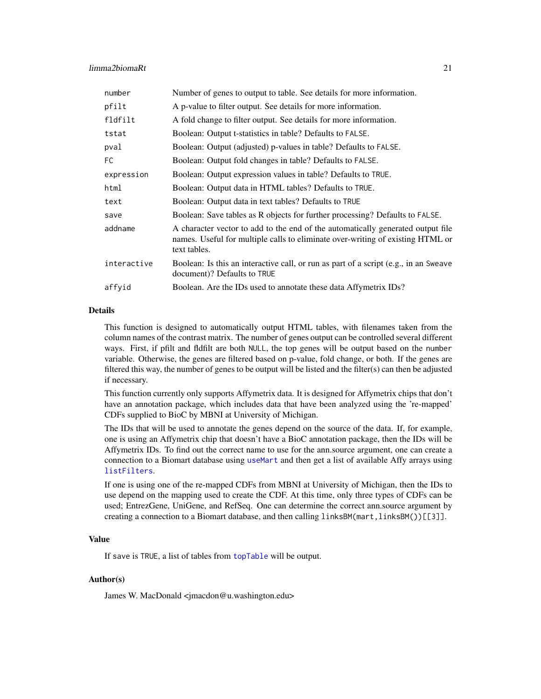#### limma2biomaRt 21

| number      | Number of genes to output to table. See details for more information.                                                                                                             |
|-------------|-----------------------------------------------------------------------------------------------------------------------------------------------------------------------------------|
| pfilt       | A p-value to filter output. See details for more information.                                                                                                                     |
| fldfilt     | A fold change to filter output. See details for more information.                                                                                                                 |
| tstat       | Boolean: Output t-statistics in table? Defaults to FALSE.                                                                                                                         |
| pval        | Boolean: Output (adjusted) p-values in table? Defaults to FALSE.                                                                                                                  |
| FC          | Boolean: Output fold changes in table? Defaults to FALSE.                                                                                                                         |
| expression  | Boolean: Output expression values in table? Defaults to TRUE.                                                                                                                     |
| html        | Boolean: Output data in HTML tables? Defaults to TRUE.                                                                                                                            |
| text        | Boolean: Output data in text tables? Defaults to TRUE                                                                                                                             |
| save        | Boolean: Save tables as R objects for further processing? Defaults to FALSE.                                                                                                      |
| addname     | A character vector to add to the end of the automatically generated output file<br>names. Useful for multiple calls to eliminate over-writing of existing HTML or<br>text tables. |
| interactive | Boolean: Is this an interactive call, or run as part of a script (e.g., in an Sweave<br>document)? Defaults to TRUE                                                               |
| affyid      | Boolean. Are the IDs used to annotate these data Affymetrix IDs?                                                                                                                  |
|             |                                                                                                                                                                                   |

#### Details

This function is designed to automatically output HTML tables, with filenames taken from the column names of the contrast matrix. The number of genes output can be controlled several different ways. First, if pfilt and fldfilt are both NULL, the top genes will be output based on the number variable. Otherwise, the genes are filtered based on p-value, fold change, or both. If the genes are filtered this way, the number of genes to be output will be listed and the filter(s) can then be adjusted if necessary.

This function currently only supports Affymetrix data. It is designed for Affymetrix chips that don't have an annotation package, which includes data that have been analyzed using the 're-mapped' CDFs supplied to BioC by MBNI at University of Michigan.

The IDs that will be used to annotate the genes depend on the source of the data. If, for example, one is using an Affymetrix chip that doesn't have a BioC annotation package, then the IDs will be Affymetrix IDs. To find out the correct name to use for the ann.source argument, one can create a connection to a Biomart database using [useMart](#page-0-0) and then get a list of available Affy arrays using [listFilters](#page-0-0).

If one is using one of the re-mapped CDFs from MBNI at University of Michigan, then the IDs to use depend on the mapping used to create the CDF. At this time, only three types of CDFs can be used; EntrezGene, UniGene, and RefSeq. One can determine the correct ann.source argument by creating a connection to a Biomart database, and then calling linksBM(mart,linksBM())[[3]].

#### Value

If save is TRUE, a list of tables from [topTable](#page-0-0) will be output.

#### Author(s)

James W. MacDonald <jmacdon@u.washington.edu>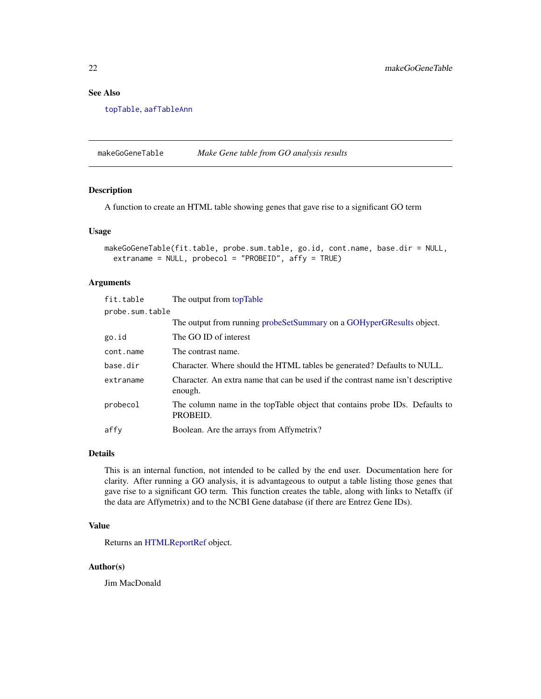#### <span id="page-21-0"></span>See Also

[topTable](#page-0-0), [aafTableAnn](#page-0-0)

makeGoGeneTable *Make Gene table from GO analysis results*

#### Description

A function to create an HTML table showing genes that gave rise to a significant GO term

#### Usage

```
makeGoGeneTable(fit.table, probe.sum.table, go.id, cont.name, base.dir = NULL,
  extraname = NULL, probecol = "PROBEID", affy = TRUE)
```
#### Arguments

| fit.table       | The output from topTable                                                                    |  |
|-----------------|---------------------------------------------------------------------------------------------|--|
| probe.sum.table |                                                                                             |  |
|                 | The output from running probeset Summary on a GOH yper GR esults object.                    |  |
| go.id           | The GO ID of interest                                                                       |  |
| cont.name       | The contrast name.                                                                          |  |
| base.dir        | Character. Where should the HTML tables be generated? Defaults to NULL.                     |  |
| extraname       | Character. An extra name that can be used if the contrast name isn't descriptive<br>enough. |  |
| probecol        | The column name in the topTable object that contains probe IDs. Defaults to<br>PROBEID.     |  |
| affy            | Boolean. Are the arrays from Affymetrix?                                                    |  |

#### Details

This is an internal function, not intended to be called by the end user. Documentation here for clarity. After running a GO analysis, it is advantageous to output a table listing those genes that gave rise to a significant GO term. This function creates the table, along with links to Netaffx (if the data are Affymetrix) and to the NCBI Gene database (if there are Entrez Gene IDs).

#### Value

Returns an [HTMLReportRef](#page-0-0) object.

#### Author(s)

Jim MacDonald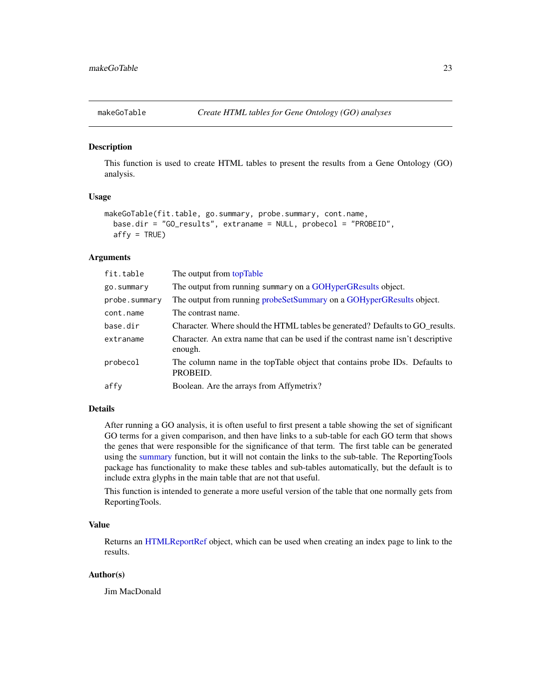<span id="page-22-0"></span>

#### **Description**

This function is used to create HTML tables to present the results from a Gene Ontology (GO) analysis.

#### Usage

```
makeGoTable(fit.table, go.summary, probe.summary, cont.name,
 base.dir = "GO_results", extraname = NULL, probecol = "PROBEID",
 affy = TRUE)
```
#### Arguments

| fit.table     | The output from topTable                                                                    |
|---------------|---------------------------------------------------------------------------------------------|
| go.summary    | The output from running summary on a GOHyperGResults object.                                |
| probe.summary | The output from running probeset Summary on a GOH yper GResults object.                     |
| cont.name     | The contrast name.                                                                          |
| base.dir      | Character. Where should the HTML tables be generated? Defaults to GO_results.               |
| extraname     | Character. An extra name that can be used if the contrast name isn't descriptive<br>enough. |
| probecol      | The column name in the topTable object that contains probe IDs. Defaults to<br>PROBEID.     |
| affy          | Boolean. Are the arrays from Affymetrix?                                                    |

#### Details

After running a GO analysis, it is often useful to first present a table showing the set of significant GO terms for a given comparison, and then have links to a sub-table for each GO term that shows the genes that were responsible for the significance of that term. The first table can be generated using the [summary](#page-0-0) function, but it will not contain the links to the sub-table. The ReportingTools package has functionality to make these tables and sub-tables automatically, but the default is to include extra glyphs in the main table that are not that useful.

This function is intended to generate a more useful version of the table that one normally gets from ReportingTools.

#### Value

Returns an [HTMLReportRef](#page-0-0) object, which can be used when creating an index page to link to the results.

#### Author(s)

Jim MacDonald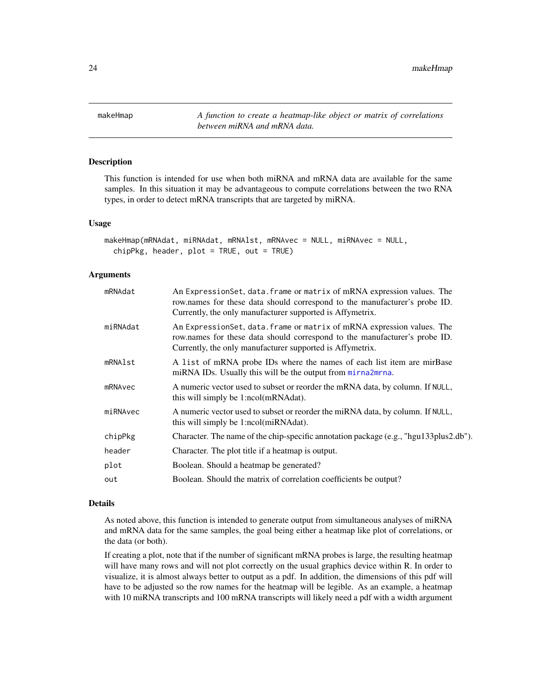<span id="page-23-0"></span>24 makeHmap

<span id="page-23-1"></span>makeHmap *A function to create a heatmap-like object or matrix of correlations between miRNA and mRNA data.*

#### Description

This function is intended for use when both miRNA and mRNA data are available for the same samples. In this situation it may be advantageous to compute correlations between the two RNA types, in order to detect mRNA transcripts that are targeted by miRNA.

#### Usage

```
makeHmap(mRNAdat, miRNAdat, mRNAlst, mRNAvec = NULL, miRNAvec = NULL,
  chipPkg, header, plot = TRUE, out = TRUE)
```
#### **Arguments**

| mRNAdat  | An ExpressionSet, data. frame or matrix of mRNA expression values. The<br>row.names for these data should correspond to the manufacturer's probe ID.<br>Currently, the only manufacturer supported is Affymetrix.  |
|----------|--------------------------------------------------------------------------------------------------------------------------------------------------------------------------------------------------------------------|
| miRNAdat | An Expression Set, data. frame or matrix of mRNA expression values. The<br>row.names for these data should correspond to the manufacturer's probe ID.<br>Currently, the only manufacturer supported is Affymetrix. |
| mRNAlst  | A list of mRNA probe IDs where the names of each list item are mirBase<br>miRNA IDs. Usually this will be the output from mirna2mrna.                                                                              |
| mRNAvec  | A numeric vector used to subset or reorder the mRNA data, by column. If NULL,<br>this will simply be 1:ncol(mRNAdat).                                                                                              |
| miRNAvec | A numeric vector used to subset or reorder the miRNA data, by column. If NULL,<br>this will simply be 1:ncol(miRNAdat).                                                                                            |
| chipPkg  | Character. The name of the chip-specific annotation package (e.g., "hgu133plus2.db").                                                                                                                              |
| header   | Character. The plot title if a heatmap is output.                                                                                                                                                                  |
| plot     | Boolean. Should a heatmap be generated?                                                                                                                                                                            |
| out      | Boolean. Should the matrix of correlation coefficients be output?                                                                                                                                                  |
|          |                                                                                                                                                                                                                    |

#### Details

As noted above, this function is intended to generate output from simultaneous analyses of miRNA and mRNA data for the same samples, the goal being either a heatmap like plot of correlations, or the data (or both).

If creating a plot, note that if the number of significant mRNA probes is large, the resulting heatmap will have many rows and will not plot correctly on the usual graphics device within R. In order to visualize, it is almost always better to output as a pdf. In addition, the dimensions of this pdf will have to be adjusted so the row names for the heatmap will be legible. As an example, a heatmap with 10 miRNA transcripts and 100 mRNA transcripts will likely need a pdf with a width argument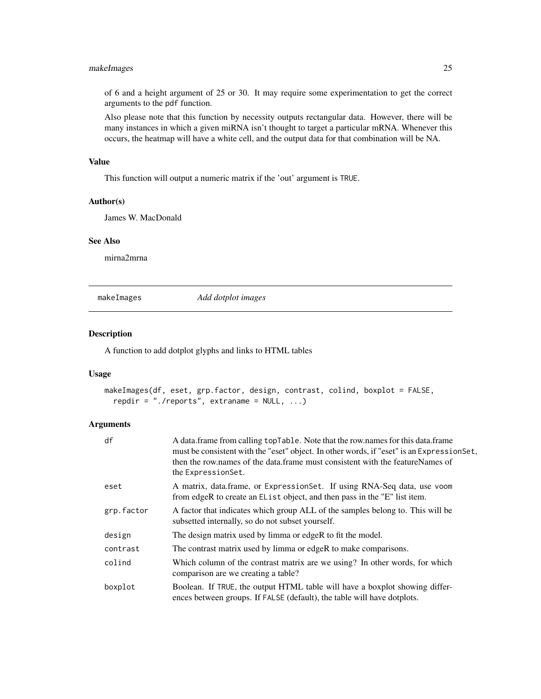#### <span id="page-24-0"></span>makeImages 25

of 6 and a height argument of 25 or 30. It may require some experimentation to get the correct arguments to the pdf function.

Also please note that this function by necessity outputs rectangular data. However, there will be many instances in which a given miRNA isn't thought to target a particular mRNA. Whenever this occurs, the heatmap will have a white cell, and the output data for that combination will be NA.

#### Value

This function will output a numeric matrix if the 'out' argument is TRUE.

#### Author(s)

James W. MacDonald

#### See Also

mirna2mrna

makeImages *Add dotplot images*

#### Description

A function to add dotplot glyphs and links to HTML tables

#### Usage

```
makeImages(df, eset, grp.factor, design, contrast, colind, boxplot = FALSE,
  repdir = "./reports", extraname = NULL, ...)
```

| df         | A data.frame from calling topTable. Note that the row names for this data.frame<br>must be consistent with the "eset" object. In other words, if "eset" is an Expression Set,<br>then the row names of the data frame must consistent with the feature Names of<br>the ExpressionSet. |
|------------|---------------------------------------------------------------------------------------------------------------------------------------------------------------------------------------------------------------------------------------------------------------------------------------|
| eset       | A matrix, data.frame, or ExpressionSet. If using RNA-Seq data, use voom<br>from edgeR to create an EL is t object, and then pass in the "E" list item.                                                                                                                                |
| grp.factor | A factor that indicates which group ALL of the samples belong to. This will be<br>subsetted internally, so do not subset yourself.                                                                                                                                                    |
| design     | The design matrix used by limma or edgeR to fit the model.                                                                                                                                                                                                                            |
| contrast   | The contrast matrix used by limma or edgeR to make comparisons.                                                                                                                                                                                                                       |
| colind     | Which column of the contrast matrix are we using? In other words, for which<br>comparison are we creating a table?                                                                                                                                                                    |
| boxplot    | Boolean. If TRUE, the output HTML table will have a boxplot showing differ-<br>ences between groups. If FALSE (default), the table will have dotplots.                                                                                                                                |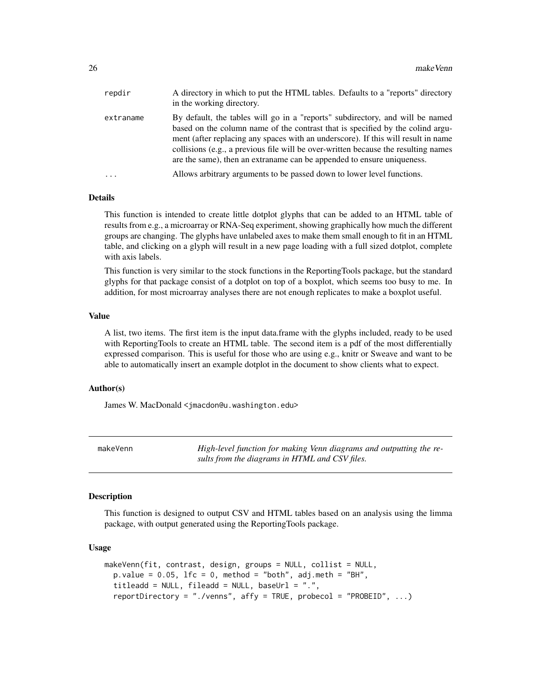<span id="page-25-0"></span>

| repdir    | A directory in which to put the HTML tables. Defaults to a "reports" directory<br>in the working directory.                                                                                                                                                                                                                                                                                                          |
|-----------|----------------------------------------------------------------------------------------------------------------------------------------------------------------------------------------------------------------------------------------------------------------------------------------------------------------------------------------------------------------------------------------------------------------------|
| extraname | By default, the tables will go in a "reports" subdirectory, and will be named<br>based on the column name of the contrast that is specified by the colind argu-<br>ment (after replacing any spaces with an underscore). If this will result in name<br>collisions (e.g., a previous file will be over-written because the resulting names<br>are the same), then an extraname can be appended to ensure uniqueness. |
| $\cdots$  | Allows arbitrary arguments to be passed down to lower level functions.                                                                                                                                                                                                                                                                                                                                               |

#### Details

This function is intended to create little dotplot glyphs that can be added to an HTML table of results from e.g., a microarray or RNA-Seq experiment, showing graphically how much the different groups are changing. The glyphs have unlabeled axes to make them small enough to fit in an HTML table, and clicking on a glyph will result in a new page loading with a full sized dotplot, complete with axis labels.

This function is very similar to the stock functions in the ReportingTools package, but the standard glyphs for that package consist of a dotplot on top of a boxplot, which seems too busy to me. In addition, for most microarray analyses there are not enough replicates to make a boxplot useful.

#### Value

A list, two items. The first item is the input data.frame with the glyphs included, ready to be used with ReportingTools to create an HTML table. The second item is a pdf of the most differentially expressed comparison. This is useful for those who are using e.g., knitr or Sweave and want to be able to automatically insert an example dotplot in the document to show clients what to expect.

#### Author(s)

James W. MacDonald <jmacdon@u.washington.edu>

makeVenn *High-level function for making Venn diagrams and outputting the results from the diagrams in HTML and CSV files.*

#### **Description**

This function is designed to output CSV and HTML tables based on an analysis using the limma package, with output generated using the ReportingTools package.

#### Usage

```
makeVenn(fit, contrast, design, groups = NULL, collist = NULL,
 p.value = 0.05, lfc = 0, method = "both", adj.meth = "BH",
  titleadd = NULL, fileadd = NULL, baseUrl = ".",reportDirectory = "./venns", affy = TRUE, probecol = "PROBEID", ...)
```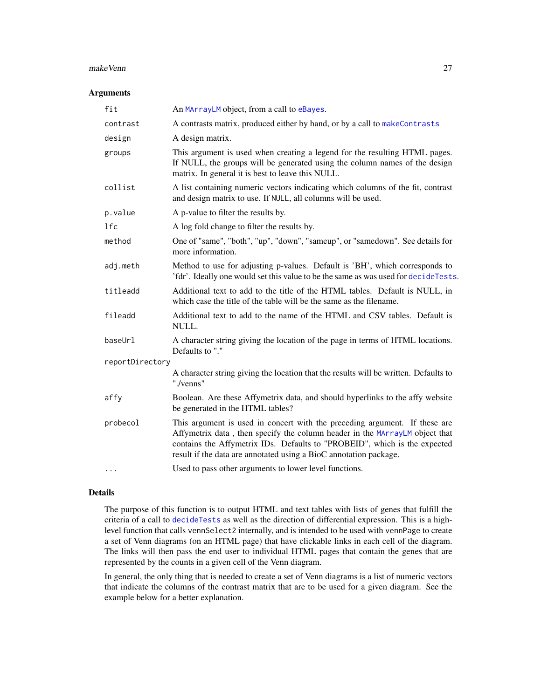#### makeVenn 27

#### Arguments

| fit             | An MArrayLM object, from a call to eBayes.                                                                                                                                                                                                                                                                  |
|-----------------|-------------------------------------------------------------------------------------------------------------------------------------------------------------------------------------------------------------------------------------------------------------------------------------------------------------|
| contrast        | A contrasts matrix, produced either by hand, or by a call to makeContrasts                                                                                                                                                                                                                                  |
| design          | A design matrix.                                                                                                                                                                                                                                                                                            |
| groups          | This argument is used when creating a legend for the resulting HTML pages.<br>If NULL, the groups will be generated using the column names of the design<br>matrix. In general it is best to leave this NULL.                                                                                               |
| collist         | A list containing numeric vectors indicating which columns of the fit, contrast<br>and design matrix to use. If NULL, all columns will be used.                                                                                                                                                             |
| p.value         | A p-value to filter the results by.                                                                                                                                                                                                                                                                         |
| 1fc             | A log fold change to filter the results by.                                                                                                                                                                                                                                                                 |
| method          | One of "same", "both", "up", "down", "sameup", or "samedown". See details for<br>more information.                                                                                                                                                                                                          |
| adj.meth        | Method to use for adjusting p-values. Default is 'BH', which corresponds to<br>'fdr'. Ideally one would set this value to be the same as was used for decideTests.                                                                                                                                          |
| titleadd        | Additional text to add to the title of the HTML tables. Default is NULL, in<br>which case the title of the table will be the same as the filename.                                                                                                                                                          |
| fileadd         | Additional text to add to the name of the HTML and CSV tables. Default is<br>NULL.                                                                                                                                                                                                                          |
| baseUrl         | A character string giving the location of the page in terms of HTML locations.<br>Defaults to "."                                                                                                                                                                                                           |
| reportDirectory |                                                                                                                                                                                                                                                                                                             |
|                 | A character string giving the location that the results will be written. Defaults to<br>"./venns"                                                                                                                                                                                                           |
| affy            | Boolean. Are these Affymetrix data, and should hyperlinks to the affy website<br>be generated in the HTML tables?                                                                                                                                                                                           |
| probecol        | This argument is used in concert with the preceding argument. If these are<br>Affymetrix data, then specify the column header in the MArrayLM object that<br>contains the Affymetrix IDs. Defaults to "PROBEID", which is the expected<br>result if the data are annotated using a BioC annotation package. |
| $\cdots$        | Used to pass other arguments to lower level functions.                                                                                                                                                                                                                                                      |

#### Details

The purpose of this function is to output HTML and text tables with lists of genes that fulfill the criteria of a call to [decideTests](#page-0-0) as well as the direction of differential expression. This is a highlevel function that calls vennSelect2 internally, and is intended to be used with vennPage to create a set of Venn diagrams (on an HTML page) that have clickable links in each cell of the diagram. The links will then pass the end user to individual HTML pages that contain the genes that are represented by the counts in a given cell of the Venn diagram.

In general, the only thing that is needed to create a set of Venn diagrams is a list of numeric vectors that indicate the columns of the contrast matrix that are to be used for a given diagram. See the example below for a better explanation.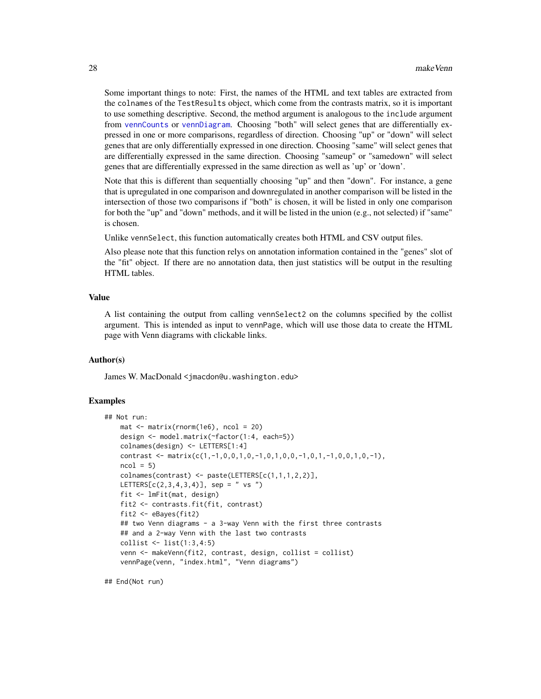Some important things to note: First, the names of the HTML and text tables are extracted from the colnames of the TestResults object, which come from the contrasts matrix, so it is important to use something descriptive. Second, the method argument is analogous to the include argument from [vennCounts](#page-0-0) or [vennDiagram](#page-0-0). Choosing "both" will select genes that are differentially expressed in one or more comparisons, regardless of direction. Choosing "up" or "down" will select genes that are only differentially expressed in one direction. Choosing "same" will select genes that are differentially expressed in the same direction. Choosing "sameup" or "samedown" will select genes that are differentially expressed in the same direction as well as 'up' or 'down'.

Note that this is different than sequentially choosing "up" and then "down". For instance, a gene that is upregulated in one comparison and downregulated in another comparison will be listed in the intersection of those two comparisons if "both" is chosen, it will be listed in only one comparison for both the "up" and "down" methods, and it will be listed in the union (e.g., not selected) if "same" is chosen.

Unlike vennSelect, this function automatically creates both HTML and CSV output files.

Also please note that this function relys on annotation information contained in the "genes" slot of the "fit" object. If there are no annotation data, then just statistics will be output in the resulting HTML tables.

#### Value

A list containing the output from calling vennSelect2 on the columns specified by the collist argument. This is intended as input to vennPage, which will use those data to create the HTML page with Venn diagrams with clickable links.

#### Author(s)

James W. MacDonald <jmacdon@u.washington.edu>

#### Examples

```
## Not run:
   mat < - matrix(rnorm(1e6), ncol = 20)design <- model.matrix(~factor(1:4, each=5))
   colnames(design) <- LETTERS[1:4]
   contrast <- matrix(c(1,-1,0,0,1,0,-1,0,1,0,0,-1,0,1,-1,0,0,1,0,-1),
   ncol = 5colnames(contrast) <- paste(LETTERS[c(1,1,1,2,2)],
   LETTERS[c(2,3,4,3,4)], sep = " vs ")
   fit <- lmFit(mat, design)
   fit2 <- contrasts.fit(fit, contrast)
   fit2 <- eBayes(fit2)
   ## two Venn diagrams - a 3-way Venn with the first three contrasts
   ## and a 2-way Venn with the last two contrasts
   collist <- list(1:3,4:5)
   venn <- makeVenn(fit2, contrast, design, collist = collist)
   vennPage(venn, "index.html", "Venn diagrams")
```
## End(Not run)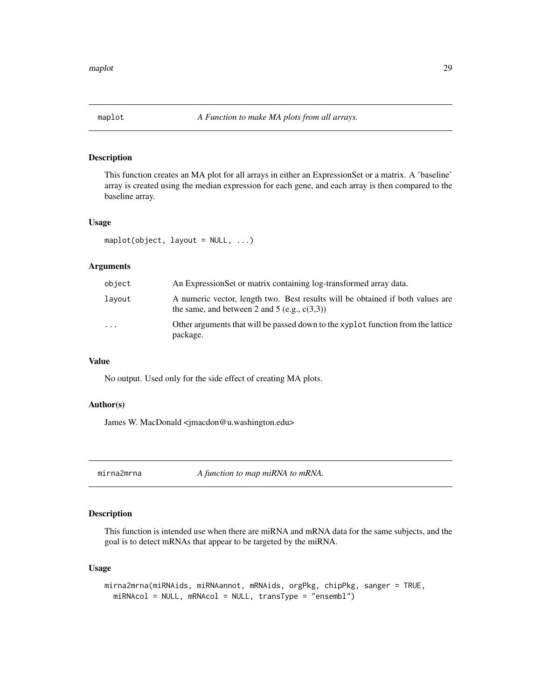<span id="page-28-0"></span>

#### Description

This function creates an MA plot for all arrays in either an ExpressionSet or a matrix. A 'baseline' array is created using the median expression for each gene, and each array is then compared to the baseline array.

#### Usage

maplot(object, layout = NULL, ...)

#### Arguments

| object | An ExpressionSet or matrix containing log-transformed array data.                                                                 |
|--------|-----------------------------------------------------------------------------------------------------------------------------------|
| lavout | A numeric vector, length two. Best results will be obtained if both values are<br>the same, and between 2 and 5 (e.g., $c(3,3)$ ) |
| .      | Other arguments that will be passed down to the xyplot function from the lattice<br>package.                                      |

#### Value

No output. Used only for the side effect of creating MA plots.

#### Author(s)

James W. MacDonald <jmacdon@u.washington.edu>

<span id="page-28-1"></span>mirna2mrna *A function to map miRNA to mRNA.*

#### Description

This function is intended use when there are miRNA and mRNA data for the same subjects, and the goal is to detect mRNAs that appear to be targeted by the miRNA.

#### Usage

```
mirna2mrna(miRNAids, miRNAannot, mRNAids, orgPkg, chipPkg, sanger = TRUE,
  miRNAcol = NULL, mRNAcol = NULL, transType = "ensembl")
```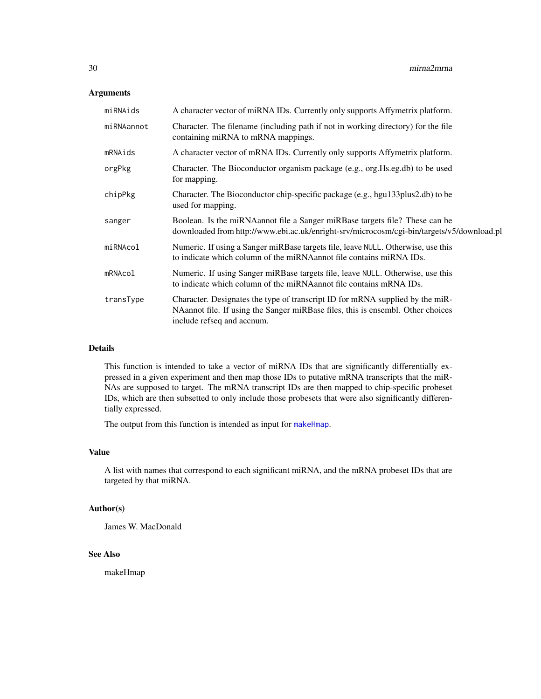#### Arguments

| miRNAids   | A character vector of miRNA IDs. Currently only supports Affymetrix platform.                                                                                                                  |
|------------|------------------------------------------------------------------------------------------------------------------------------------------------------------------------------------------------|
| miRNAannot | Character. The filename (including path if not in working directory) for the file<br>containing miRNA to mRNA mappings.                                                                        |
| mRNAids    | A character vector of mRNA IDs. Currently only supports Affymetrix platform.                                                                                                                   |
| orgPkg     | Character. The Bioconductor organism package (e.g., org. Hs.eg.db) to be used<br>for mapping.                                                                                                  |
| chipPkg    | Character. The Bioconductor chip-specific package (e.g., hgu133plus2.db) to be<br>used for mapping.                                                                                            |
| sanger     | Boolean. Is the miRNA annot file a Sanger miRB as targets file? These can be<br>downloaded from http://www.ebi.ac.uk/enright-srv/microcosm/cgi-bin/targets/v5/download.pl                      |
| miRNAcol   | Numeric. If using a Sanger miRBase targets file, leave NULL. Otherwise, use this<br>to indicate which column of the miRNA annot file contains miRNA IDs.                                       |
| mRNAcol    | Numeric. If using Sanger miRBase targets file, leave NULL. Otherwise, use this<br>to indicate which column of the miRNA annot file contains mRNA IDs.                                          |
| transType  | Character. Designates the type of transcript ID for mRNA supplied by the miR-<br>NAannot file. If using the Sanger miRBase files, this is ensembl. Other choices<br>include refseq and accnum. |

#### Details

This function is intended to take a vector of miRNA IDs that are significantly differentially expressed in a given experiment and then map those IDs to putative mRNA transcripts that the miR-NAs are supposed to target. The mRNA transcript IDs are then mapped to chip-specific probeset IDs, which are then subsetted to only include those probesets that were also significantly differentially expressed.

The output from this function is intended as input for [makeHmap](#page-23-1).

#### Value

A list with names that correspond to each significant miRNA, and the mRNA probeset IDs that are targeted by that miRNA.

#### Author(s)

James W. MacDonald

#### See Also

makeHmap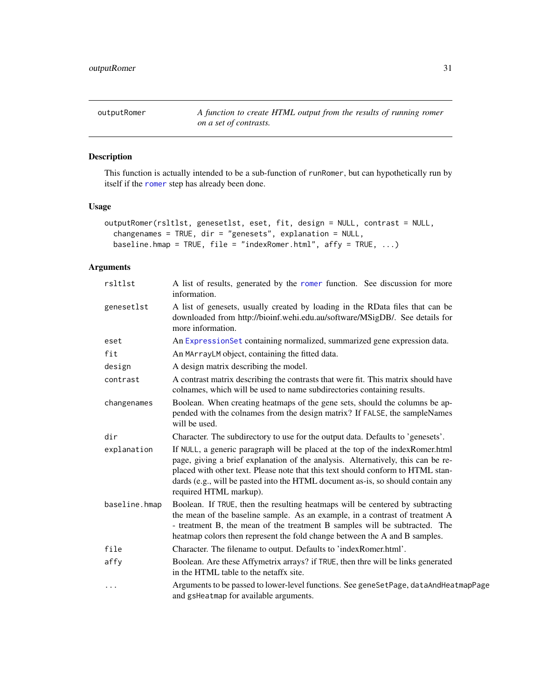<span id="page-30-0"></span>

#### Description

This function is actually intended to be a sub-function of runRomer, but can hypothetically run by itself if the [romer](#page-0-0) step has already been done.

#### Usage

```
outputRomer(rsltlst, genesetlst, eset, fit, design = NULL, contrast = NULL,
  changenames = TRUE, dir = "genesets", explanation = NULL,
 baseline.hmap = TRUE, file = "indexRomer.html", affy = TRUE, ...)
```

| rsltlst       | A list of results, generated by the romer function. See discussion for more<br>information.                                                                                                                                                                                                                                                                       |
|---------------|-------------------------------------------------------------------------------------------------------------------------------------------------------------------------------------------------------------------------------------------------------------------------------------------------------------------------------------------------------------------|
| genesetlst    | A list of genesets, usually created by loading in the RData files that can be<br>downloaded from http://bioinf.wehi.edu.au/software/MSigDB/. See details for<br>more information.                                                                                                                                                                                 |
| eset          | An ExpressionSet containing normalized, summarized gene expression data.                                                                                                                                                                                                                                                                                          |
| fit           | An MArrayLM object, containing the fitted data.                                                                                                                                                                                                                                                                                                                   |
| design        | A design matrix describing the model.                                                                                                                                                                                                                                                                                                                             |
| contrast      | A contrast matrix describing the contrasts that were fit. This matrix should have<br>colnames, which will be used to name subdirectories containing results.                                                                                                                                                                                                      |
| changenames   | Boolean. When creating heatmaps of the gene sets, should the columns be ap-<br>pended with the colnames from the design matrix? If FALSE, the sampleNames<br>will be used.                                                                                                                                                                                        |
| dir           | Character. The subdirectory to use for the output data. Defaults to 'genesets'.                                                                                                                                                                                                                                                                                   |
| explanation   | If NULL, a generic paragraph will be placed at the top of the indexRomer.html<br>page, giving a brief explanation of the analysis. Alternatively, this can be re-<br>placed with other text. Please note that this text should conform to HTML stan-<br>dards (e.g., will be pasted into the HTML document as-is, so should contain any<br>required HTML markup). |
| baseline.hmap | Boolean. If TRUE, then the resulting heatmaps will be centered by subtracting<br>the mean of the baseline sample. As an example, in a contrast of treatment A<br>- treatment B, the mean of the treatment B samples will be subtracted. The<br>heatmap colors then represent the fold change between the A and B samples.                                         |
| file          | Character. The filename to output. Defaults to 'indexRomer.html'.                                                                                                                                                                                                                                                                                                 |
| affy          | Boolean. Are these Affymetrix arrays? if TRUE, then thre will be links generated<br>in the HTML table to the netaffx site.                                                                                                                                                                                                                                        |
| $\cdots$      | Arguments to be passed to lower-level functions. See geneSetPage, dataAndHeatmapPage<br>and gsHeatmap for available arguments.                                                                                                                                                                                                                                    |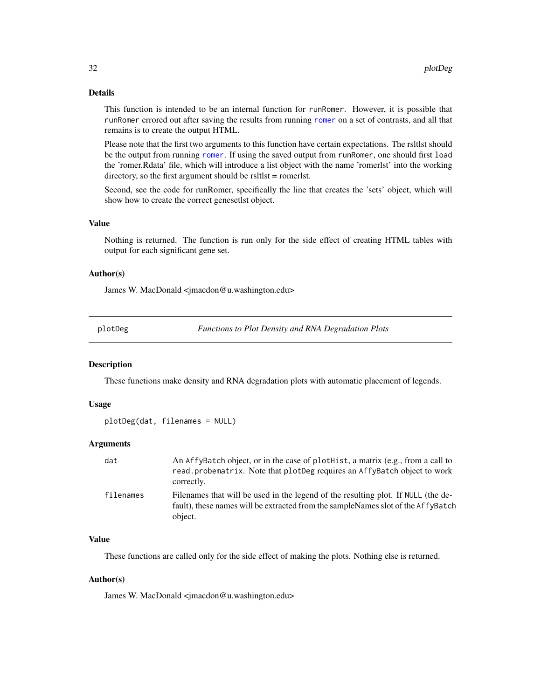#### <span id="page-31-0"></span>Details

This function is intended to be an internal function for runRomer. However, it is possible that runRomer errored out after saving the results from running [romer](#page-0-0) on a set of contrasts, and all that remains is to create the output HTML.

Please note that the first two arguments to this function have certain expectations. The rsltlst should be the output from running [romer](#page-0-0). If using the saved output from runRomer, one should first load the 'romer.Rdata' file, which will introduce a list object with the name 'romerlst' into the working directory, so the first argument should be rsltlst = romerlst.

Second, see the code for runRomer, specifically the line that creates the 'sets' object, which will show how to create the correct genesetlst object.

#### Value

Nothing is returned. The function is run only for the side effect of creating HTML tables with output for each significant gene set.

#### Author(s)

James W. MacDonald <jmacdon@u.washington.edu>

plotDeg *Functions to Plot Density and RNA Degradation Plots*

#### Description

These functions make density and RNA degradation plots with automatic placement of legends.

#### Usage

```
plotDeg(dat, filenames = NULL)
```
#### Arguments

| dat       | An AffyBatch object, or in the case of plothist, a matrix (e.g., from a call to<br>read.probematrix. Note that plotDeg requires an AffyBatch object to work<br>correctly.        |
|-----------|----------------------------------------------------------------------------------------------------------------------------------------------------------------------------------|
| filenames | Filenames that will be used in the legend of the resulting plot. If NULL (the de-<br>fault), these names will be extracted from the sampleNames slot of the AffyBatch<br>object. |

#### Value

These functions are called only for the side effect of making the plots. Nothing else is returned.

#### Author(s)

James W. MacDonald <jmacdon@u.washington.edu>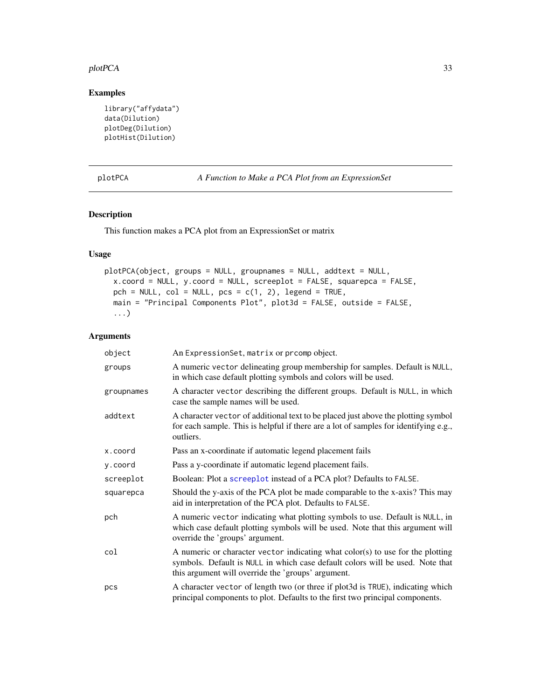#### <span id="page-32-0"></span>plotPCA 33

#### Examples

```
library("affydata")
data(Dilution)
plotDeg(Dilution)
plotHist(Dilution)
```
plotPCA *A Function to Make a PCA Plot from an ExpressionSet*

#### Description

This function makes a PCA plot from an ExpressionSet or matrix

#### Usage

```
plotPCA(object, groups = NULL, groupnames = NULL, addtext = NULL,
 x.coord = NULL, y.coord = NULL, screeplot = FALSE, squarepca = FALSE,
 pch = NULL, col = NULL, pcs = c(1, 2), legend = TRUE,
 main = "Principal Components Plot", plot3d = FALSE, outside = FALSE,
  ...)
```

| object     | An ExpressionSet, matrix or prcomp object.                                                                                                                                                                            |
|------------|-----------------------------------------------------------------------------------------------------------------------------------------------------------------------------------------------------------------------|
| groups     | A numeric vector delineating group membership for samples. Default is NULL,<br>in which case default plotting symbols and colors will be used.                                                                        |
| groupnames | A character vector describing the different groups. Default is NULL, in which<br>case the sample names will be used.                                                                                                  |
| addtext    | A character vector of additional text to be placed just above the plotting symbol<br>for each sample. This is helpful if there are a lot of samples for identifying e.g.,<br>outliers.                                |
| x.coord    | Pass an x-coordinate if automatic legend placement fails                                                                                                                                                              |
| y.coord    | Pass a y-coordinate if automatic legend placement fails.                                                                                                                                                              |
| screeplot  | Boolean: Plot a screeplot instead of a PCA plot? Defaults to FALSE.                                                                                                                                                   |
| squarepca  | Should the y-axis of the PCA plot be made comparable to the x-axis? This may<br>aid in interpretation of the PCA plot. Defaults to FALSE.                                                                             |
| pch        | A numeric vector indicating what plotting symbols to use. Default is NULL, in<br>which case default plotting symbols will be used. Note that this argument will<br>override the 'groups' argument.                    |
| col        | A numeric or character vector indicating what color(s) to use for the plotting<br>symbols. Default is NULL in which case default colors will be used. Note that<br>this argument will override the 'groups' argument. |
| pcs        | A character vector of length two (or three if plot3d is TRUE), indicating which<br>principal components to plot. Defaults to the first two principal components.                                                      |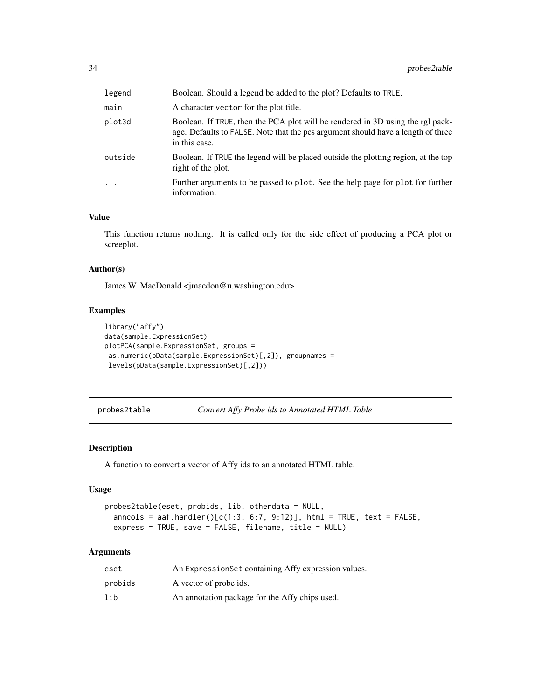<span id="page-33-0"></span>

| legend   | Boolean. Should a legend be added to the plot? Defaults to TRUE.                                                                                                                    |
|----------|-------------------------------------------------------------------------------------------------------------------------------------------------------------------------------------|
| main     | A character vector for the plot title.                                                                                                                                              |
| plot3d   | Boolean. If TRUE, then the PCA plot will be rendered in 3D using the rgl pack-<br>age. Defaults to FALSE. Note that the pcs argument should have a length of three<br>in this case. |
| outside  | Boolean. If TRUE the legend will be placed outside the plotting region, at the top<br>right of the plot.                                                                            |
| $\cdots$ | Further arguments to be passed to plot. See the help page for plot for further<br>information.                                                                                      |

#### Value

This function returns nothing. It is called only for the side effect of producing a PCA plot or screeplot.

#### Author(s)

James W. MacDonald <jmacdon@u.washington.edu>

#### Examples

```
library("affy")
data(sample.ExpressionSet)
plotPCA(sample.ExpressionSet, groups =
as.numeric(pData(sample.ExpressionSet)[,2]), groupnames =
 levels(pData(sample.ExpressionSet)[,2]))
```
probes2table *Convert Affy Probe ids to Annotated HTML Table*

#### Description

A function to convert a vector of Affy ids to an annotated HTML table.

#### Usage

```
probes2table(eset, probids, lib, otherdata = NULL,
  anncols = aaf.handler() [c(1:3, 6:7, 9:12)], html = TRUE, text = FALSE,express = TRUE, save = FALSE, filename, title = NULL)
```

| eset    | An Expression Set containing Affy expression values. |
|---------|------------------------------------------------------|
| probids | A vector of probe ids.                               |
| lib     | An annotation package for the Affy chips used.       |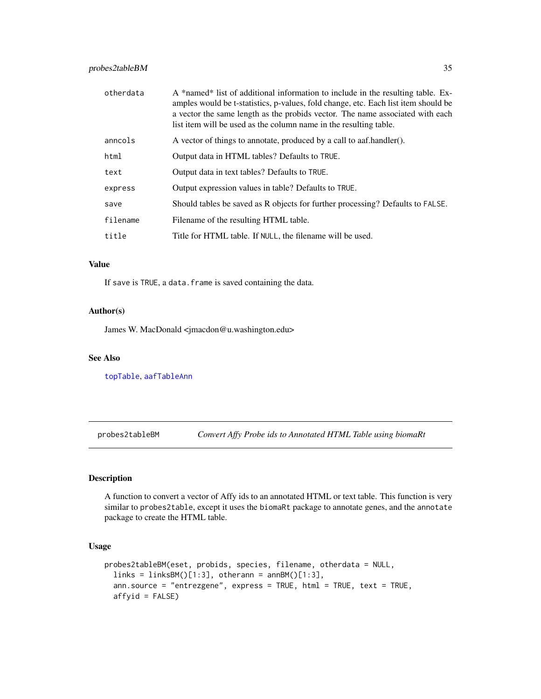#### <span id="page-34-0"></span>probes2tableBM 35

| otherdata | A *named* list of additional information to include in the resulting table. Ex-<br>amples would be t-statistics, p-values, fold change, etc. Each list item should be<br>a vector the same length as the probids vector. The name associated with each<br>list item will be used as the column name in the resulting table. |  |  |  |  |  |
|-----------|-----------------------------------------------------------------------------------------------------------------------------------------------------------------------------------------------------------------------------------------------------------------------------------------------------------------------------|--|--|--|--|--|
| anncols   | A vector of things to annotate, produced by a call to aaf.handler().                                                                                                                                                                                                                                                        |  |  |  |  |  |
| html      | Output data in HTML tables? Defaults to TRUE.                                                                                                                                                                                                                                                                               |  |  |  |  |  |
| text      | Output data in text tables? Defaults to TRUE.                                                                                                                                                                                                                                                                               |  |  |  |  |  |
| express   | Output expression values in table? Defaults to TRUE.                                                                                                                                                                                                                                                                        |  |  |  |  |  |
| save      | Should tables be saved as R objects for further processing? Defaults to FALSE.                                                                                                                                                                                                                                              |  |  |  |  |  |
| filename  | Filename of the resulting HTML table.                                                                                                                                                                                                                                                                                       |  |  |  |  |  |
| title     | Title for HTML table. If NULL, the filename will be used.                                                                                                                                                                                                                                                                   |  |  |  |  |  |
|           |                                                                                                                                                                                                                                                                                                                             |  |  |  |  |  |

#### Value

If save is TRUE, a data. frame is saved containing the data.

#### Author(s)

James W. MacDonald <jmacdon@u.washington.edu>

#### See Also

[topTable](#page-0-0), [aafTableAnn](#page-0-0)

probes2tableBM *Convert Affy Probe ids to Annotated HTML Table using biomaRt*

#### Description

A function to convert a vector of Affy ids to an annotated HTML or text table. This function is very similar to probes2table, except it uses the biomaRt package to annotate genes, and the annotate package to create the HTML table.

#### Usage

```
probes2tableBM(eset, probids, species, filename, otherdata = NULL,
  links = linksBM()[1:3], other, an RMA()ann.source = "entrezgene", express = TRUE, html = TRUE, text = TRUE,
  affyid = FALSE)
```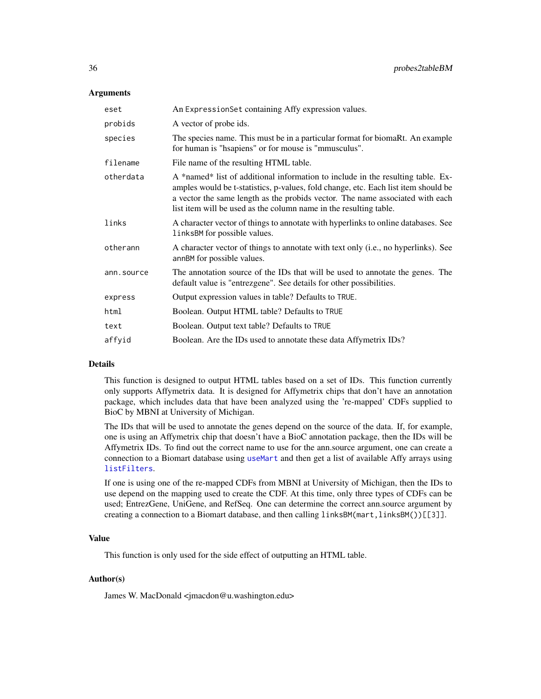#### **Arguments**

| eset       | An ExpressionSet containing Affy expression values.                                                                                                                                                                                                                                                                         |  |  |  |  |
|------------|-----------------------------------------------------------------------------------------------------------------------------------------------------------------------------------------------------------------------------------------------------------------------------------------------------------------------------|--|--|--|--|
| probids    | A vector of probe ids.                                                                                                                                                                                                                                                                                                      |  |  |  |  |
| species    | The species name. This must be in a particular format for biomaRt. An example<br>for human is "hsapiens" or for mouse is "mmusculus".                                                                                                                                                                                       |  |  |  |  |
| filename   | File name of the resulting HTML table.                                                                                                                                                                                                                                                                                      |  |  |  |  |
| otherdata  | A *named* list of additional information to include in the resulting table. Ex-<br>amples would be t-statistics, p-values, fold change, etc. Each list item should be<br>a vector the same length as the probids vector. The name associated with each<br>list item will be used as the column name in the resulting table. |  |  |  |  |
| links      | A character vector of things to annotate with hyperlinks to online databases. See<br>linksBM for possible values.                                                                                                                                                                                                           |  |  |  |  |
| otherann   | A character vector of things to annotate with text only (i.e., no hyperlinks). See<br>annBM for possible values.                                                                                                                                                                                                            |  |  |  |  |
| ann.source | The annotation source of the IDs that will be used to annotate the genes. The<br>default value is "entrezgene". See details for other possibilities.                                                                                                                                                                        |  |  |  |  |
| express    | Output expression values in table? Defaults to TRUE.                                                                                                                                                                                                                                                                        |  |  |  |  |
| html       | Boolean. Output HTML table? Defaults to TRUE                                                                                                                                                                                                                                                                                |  |  |  |  |
| text       | Boolean. Output text table? Defaults to TRUE                                                                                                                                                                                                                                                                                |  |  |  |  |
| affyid     | Boolean. Are the IDs used to annotate these data Affymetrix IDs?                                                                                                                                                                                                                                                            |  |  |  |  |
|            |                                                                                                                                                                                                                                                                                                                             |  |  |  |  |

#### Details

This function is designed to output HTML tables based on a set of IDs. This function currently only supports Affymetrix data. It is designed for Affymetrix chips that don't have an annotation package, which includes data that have been analyzed using the 're-mapped' CDFs supplied to BioC by MBNI at University of Michigan.

The IDs that will be used to annotate the genes depend on the source of the data. If, for example, one is using an Affymetrix chip that doesn't have a BioC annotation package, then the IDs will be Affymetrix IDs. To find out the correct name to use for the ann.source argument, one can create a connection to a Biomart database using [useMart](#page-0-0) and then get a list of available Affy arrays using [listFilters](#page-0-0).

If one is using one of the re-mapped CDFs from MBNI at University of Michigan, then the IDs to use depend on the mapping used to create the CDF. At this time, only three types of CDFs can be used; EntrezGene, UniGene, and RefSeq. One can determine the correct ann.source argument by creating a connection to a Biomart database, and then calling linksBM(mart,linksBM())[[3]].

#### Value

This function is only used for the side effect of outputting an HTML table.

#### Author(s)

James W. MacDonald <jmacdon@u.washington.edu>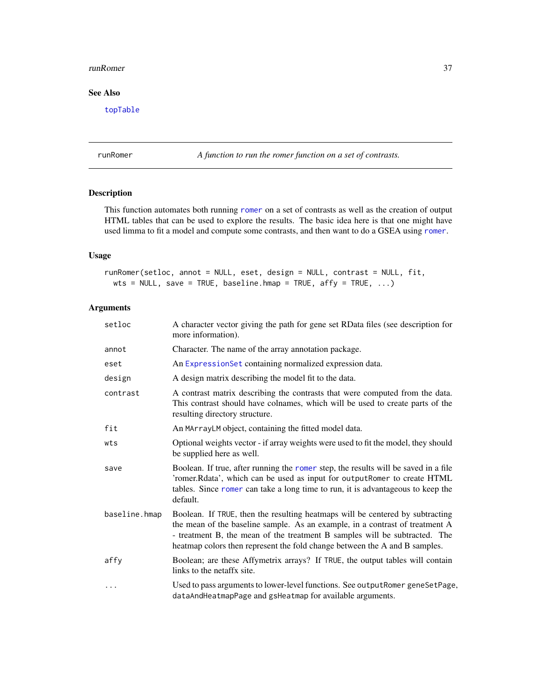#### <span id="page-36-0"></span>runRomer 37

#### See Also

[topTable](#page-0-0)

runRomer *A function to run the romer function on a set of contrasts.*

#### Description

This function automates both running [romer](#page-0-0) on a set of contrasts as well as the creation of output HTML tables that can be used to explore the results. The basic idea here is that one might have used limma to fit a model and compute some contrasts, and then want to do a GSEA using [romer](#page-0-0).

#### Usage

```
runRomer(setloc, annot = NULL, eset, design = NULL, contrast = NULL, fit,
 wts = NULL, save = TRUE, baseline.hmap = TRUE, affy = TRUE, \dots)
```

| setloc        | A character vector giving the path for gene set RData files (see description for<br>more information).                                                                                                                                                                                                                    |  |  |  |
|---------------|---------------------------------------------------------------------------------------------------------------------------------------------------------------------------------------------------------------------------------------------------------------------------------------------------------------------------|--|--|--|
| annot         | Character. The name of the array annotation package.                                                                                                                                                                                                                                                                      |  |  |  |
| eset          | An ExpressionSet containing normalized expression data.                                                                                                                                                                                                                                                                   |  |  |  |
| design        | A design matrix describing the model fit to the data.                                                                                                                                                                                                                                                                     |  |  |  |
| contrast      | A contrast matrix describing the contrasts that were computed from the data.<br>This contrast should have colnames, which will be used to create parts of the<br>resulting directory structure.                                                                                                                           |  |  |  |
| fit           | An MArrayLM object, containing the fitted model data.                                                                                                                                                                                                                                                                     |  |  |  |
| wts           | Optional weights vector - if array weights were used to fit the model, they should<br>be supplied here as well.                                                                                                                                                                                                           |  |  |  |
| save          | Boolean. If true, after running the romer step, the results will be saved in a file<br>'romer.Rdata', which can be used as input for outputRomer to create HTML<br>tables. Since romer can take a long time to run, it is advantageous to keep the<br>default.                                                            |  |  |  |
| baseline.hmap | Boolean. If TRUE, then the resulting heatmaps will be centered by subtracting<br>the mean of the baseline sample. As an example, in a contrast of treatment A<br>- treatment B, the mean of the treatment B samples will be subtracted. The<br>heatmap colors then represent the fold change between the A and B samples. |  |  |  |
| affy          | Boolean; are these Affymetrix arrays? If TRUE, the output tables will contain<br>links to the netaffx site.                                                                                                                                                                                                               |  |  |  |
| $\cdots$      | Used to pass arguments to lower-level functions. See outputRomer geneSetPage,<br>dataAndHeatmapPage and gsHeatmap for available arguments.                                                                                                                                                                                |  |  |  |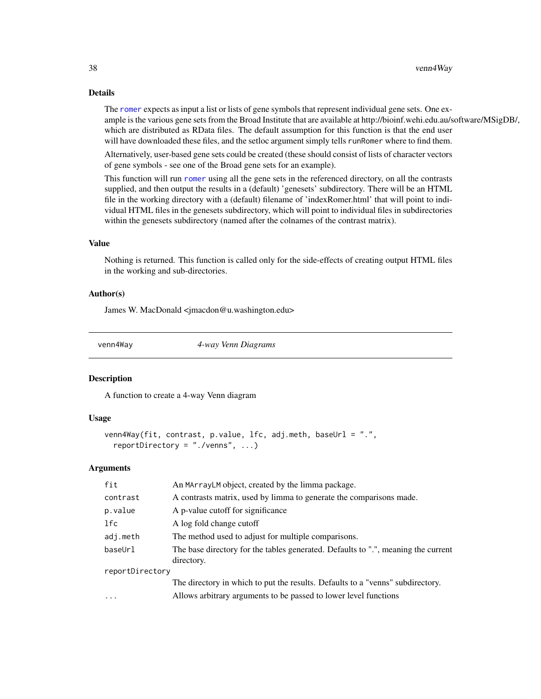#### Details

The [romer](#page-0-0) expects as input a list or lists of gene symbols that represent individual gene sets. One example is the various gene sets from the Broad Institute that are available at http://bioinf.wehi.edu.au/software/MSigDB/, which are distributed as RData files. The default assumption for this function is that the end user will have downloaded these files, and the setloc argument simply tells runRomer where to find them.

Alternatively, user-based gene sets could be created (these should consist of lists of character vectors of gene symbols - see one of the Broad gene sets for an example).

This function will run [romer](#page-0-0) using all the gene sets in the referenced directory, on all the contrasts supplied, and then output the results in a (default) 'genesets' subdirectory. There will be an HTML file in the working directory with a (default) filename of 'indexRomer.html' that will point to individual HTML files in the genesets subdirectory, which will point to individual files in subdirectories within the genesets subdirectory (named after the colnames of the contrast matrix).

#### Value

Nothing is returned. This function is called only for the side-effects of creating output HTML files in the working and sub-directories.

#### Author(s)

James W. MacDonald <jmacdon@u.washington.edu>

venn4Way *4-way Venn Diagrams*

#### Description

A function to create a 4-way Venn diagram

#### Usage

```
venn4Way(fit, contrast, p.value, lfc, adj.meth, baseUrl = ".",
  reportDirectory = "./venns", ...)
```

| fit             | An MArrayLM object, created by the limma package.                                               |  |  |  |  |
|-----------------|-------------------------------------------------------------------------------------------------|--|--|--|--|
| contrast        | A contrasts matrix, used by limma to generate the comparisons made.                             |  |  |  |  |
| p.value         | A p-value cutoff for significance                                                               |  |  |  |  |
| 1fc             | A log fold change cutoff                                                                        |  |  |  |  |
| adj.meth        | The method used to adjust for multiple comparisons.                                             |  |  |  |  |
| baseUrl         | The base directory for the tables generated. Defaults to ".", meaning the current<br>directory. |  |  |  |  |
| reportDirectory |                                                                                                 |  |  |  |  |
|                 | The directory in which to put the results. Defaults to a "venns" subdirectory.                  |  |  |  |  |
| $\cdots$        | Allows arbitrary arguments to be passed to lower level functions                                |  |  |  |  |
|                 |                                                                                                 |  |  |  |  |

<span id="page-37-0"></span>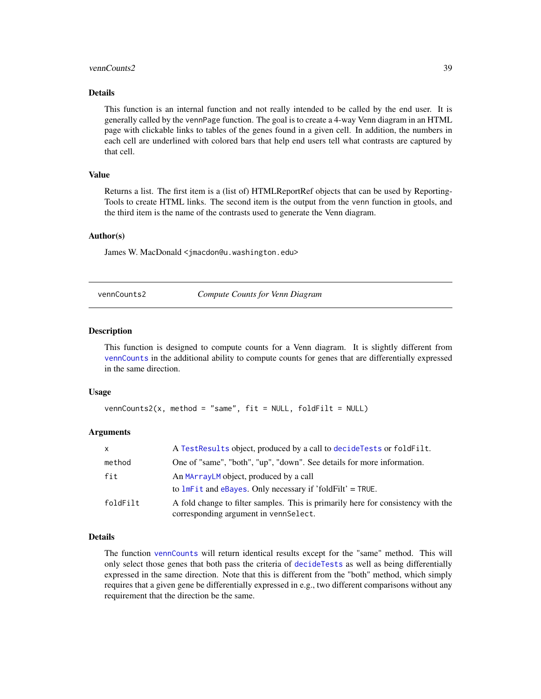#### <span id="page-38-0"></span>vennCounts2 39

#### Details

This function is an internal function and not really intended to be called by the end user. It is generally called by the vennPage function. The goal is to create a 4-way Venn diagram in an HTML page with clickable links to tables of the genes found in a given cell. In addition, the numbers in each cell are underlined with colored bars that help end users tell what contrasts are captured by that cell.

#### Value

Returns a list. The first item is a (list of) HTMLReportRef objects that can be used by Reporting-Tools to create HTML links. The second item is the output from the venn function in gtools, and the third item is the name of the contrasts used to generate the Venn diagram.

#### Author(s)

James W. MacDonald <jmacdon@u.washington.edu>

vennCounts2 *Compute Counts for Venn Diagram*

#### **Description**

This function is designed to compute counts for a Venn diagram. It is slightly different from [vennCounts](#page-0-0) in the additional ability to compute counts for genes that are differentially expressed in the same direction.

#### Usage

```
vennCounts2(x, method = "same", fit = NULL, foldFilt = NULL
```
#### Arguments

| X        | A TestResults object, produced by a call to decideTests or foldFilt.                                                      |
|----------|---------------------------------------------------------------------------------------------------------------------------|
| method   | One of "same", "both", "up", "down". See details for more information.                                                    |
| fit      | An MArrayLM object, produced by a call<br>to $lmFit$ and eBayes. Only necessary if 'foldFilt' = TRUE.                     |
| foldFilt | A fold change to filter samples. This is primarily here for consistency with the<br>corresponding argument in vennSelect. |

#### Details

The function [vennCounts](#page-0-0) will return identical results except for the "same" method. This will only select those genes that both pass the criteria of [decideTests](#page-0-0) as well as being differentially expressed in the same direction. Note that this is different from the "both" method, which simply requires that a given gene be differentially expressed in e.g., two different comparisons without any requirement that the direction be the same.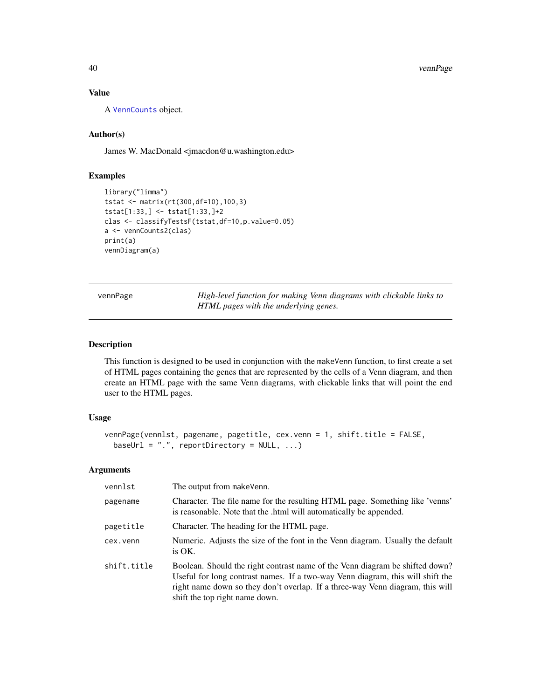40 vennPage

#### Value

A [VennCounts](#page-0-0) object.

#### Author(s)

James W. MacDonald <jmacdon@u.washington.edu>

#### Examples

```
library("limma")
tstat <- matrix(rt(300,df=10),100,3)
tstat[1:33,] <- tstat[1:33,]+2
clas <- classifyTestsF(tstat,df=10,p.value=0.05)
a <- vennCounts2(clas)
print(a)
vennDiagram(a)
```
vennPage *High-level function for making Venn diagrams with clickable links to HTML pages with the underlying genes.*

#### Description

This function is designed to be used in conjunction with the makeVenn function, to first create a set of HTML pages containing the genes that are represented by the cells of a Venn diagram, and then create an HTML page with the same Venn diagrams, with clickable links that will point the end user to the HTML pages.

#### Usage

```
vennPage(vennlst, pagename, pagetitle, cex.venn = 1, shift.title = FALSE,
 baseUrl = ".". reportDirectory = NULL, ...)
```

| vennlst     | The output from makeVenn.                                                                                                                                                                                                                                                         |  |  |  |  |
|-------------|-----------------------------------------------------------------------------------------------------------------------------------------------------------------------------------------------------------------------------------------------------------------------------------|--|--|--|--|
| pagename    | Character. The file name for the resulting HTML page. Something like 'venns'<br>is reasonable. Note that the .html will automatically be appended.                                                                                                                                |  |  |  |  |
| pagetitle   | Character. The heading for the HTML page.                                                                                                                                                                                                                                         |  |  |  |  |
| cex.venn    | Numeric. Adjusts the size of the font in the Venn diagram. Usually the default<br>is OK.                                                                                                                                                                                          |  |  |  |  |
| shift.title | Boolean. Should the right contrast name of the Venn diagram be shifted down?<br>Useful for long contrast names. If a two-way Venn diagram, this will shift the<br>right name down so they don't overlap. If a three-way Venn diagram, this will<br>shift the top right name down. |  |  |  |  |

<span id="page-39-0"></span>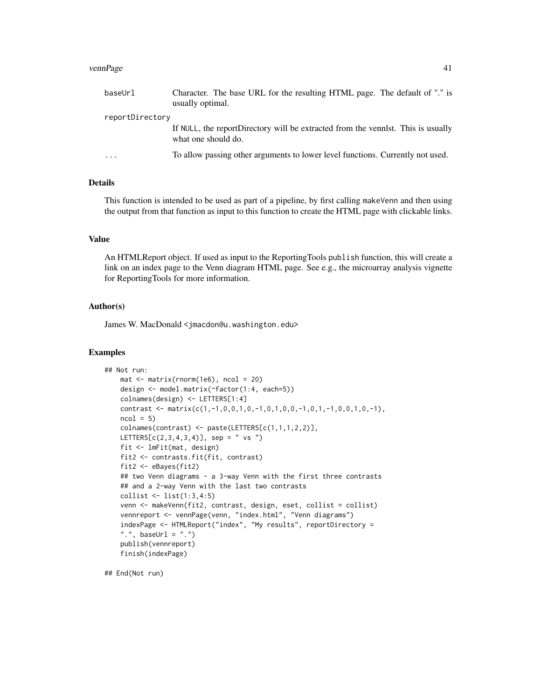#### vennPage 41

| baseUrl         | Character. The base URL for the resulting HTML page. The default of "." is<br>usually optimal.          |  |  |  |
|-----------------|---------------------------------------------------------------------------------------------------------|--|--|--|
| reportDirectory |                                                                                                         |  |  |  |
|                 | If NULL, the reportDirectory will be extracted from the vennist. This is usually<br>what one should do. |  |  |  |
| $\cdots$        | To allow passing other arguments to lower level functions. Currently not used.                          |  |  |  |

#### Details

This function is intended to be used as part of a pipeline, by first calling makeVenn and then using the output from that function as input to this function to create the HTML page with clickable links.

#### Value

An HTMLReport object. If used as input to the ReportingTools publish function, this will create a link on an index page to the Venn diagram HTML page. See e.g., the microarray analysis vignette for ReportingTools for more information.

#### Author(s)

James W. MacDonald <jmacdon@u.washington.edu>

#### Examples

```
## Not run:
   mat < -matrix(rnorm(1e6), ncol = 20)design <- model.matrix(~factor(1:4, each=5))
   colnames(design) <- LETTERS[1:4]
   contrast <- matrix(c(1,-1,0,0,1,0,-1,0,1,0,0,-1,0,1,-1,0,0,1,0,-1),
   ncol = 5colnames(contrast) <- paste(LETTERS[c(1,1,1,2,2)],
   LETTERS[c(2,3,4,3,4)], sep = " vs ")
   fit <- lmFit(mat, design)
   fit2 <- contrasts.fit(fit, contrast)
   fit2 <- eBayes(fit2)
   ## two Venn diagrams - a 3-way Venn with the first three contrasts
   ## and a 2-way Venn with the last two contrasts
   collist <- list(1:3,4:5)
   venn <- makeVenn(fit2, contrast, design, eset, collist = collist)
   vennreport <- vennPage(venn, "index.html", "Venn diagrams")
    indexPage <- HTMLReport("index", "My results", reportDirectory =
    ".", baseUrl = ".")
    publish(vennreport)
    finish(indexPage)
```
## End(Not run)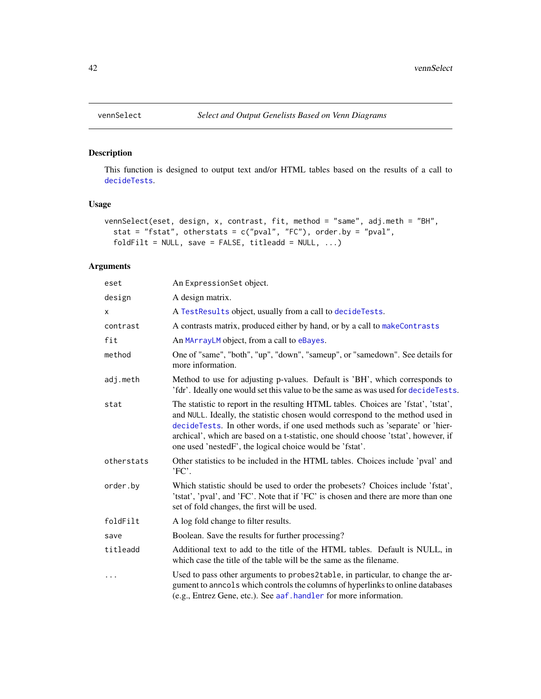#### Description

This function is designed to output text and/or HTML tables based on the results of a call to [decideTests](#page-0-0).

#### Usage

```
vennSelect(eset, design, x, contrast, fit, method = "same", adj.meth = "BH",
  stat = "fstat", otherstats = c("pval", "FC"), order.py = "pval",foldFilt = NULL, save = FALSE, titleadd = NULL, ...)
```

| eset       | An ExpressionSet object.                                                                                                                                                                                                                                                                                                                                                                                  |  |  |  |  |  |
|------------|-----------------------------------------------------------------------------------------------------------------------------------------------------------------------------------------------------------------------------------------------------------------------------------------------------------------------------------------------------------------------------------------------------------|--|--|--|--|--|
| design     | A design matrix.                                                                                                                                                                                                                                                                                                                                                                                          |  |  |  |  |  |
| X          | A TestResults object, usually from a call to decideTests.                                                                                                                                                                                                                                                                                                                                                 |  |  |  |  |  |
| contrast   | A contrasts matrix, produced either by hand, or by a call to makeContrasts                                                                                                                                                                                                                                                                                                                                |  |  |  |  |  |
| fit        | An MArrayLM object, from a call to eBayes.                                                                                                                                                                                                                                                                                                                                                                |  |  |  |  |  |
| method     | One of "same", "both", "up", "down", "sameup", or "samedown". See details for<br>more information.                                                                                                                                                                                                                                                                                                        |  |  |  |  |  |
| adj.meth   | Method to use for adjusting p-values. Default is 'BH', which corresponds to<br>'fdr'. Ideally one would set this value to be the same as was used for decideTests.                                                                                                                                                                                                                                        |  |  |  |  |  |
| stat       | The statistic to report in the resulting HTML tables. Choices are 'fstat', 'tstat',<br>and NULL. Ideally, the statistic chosen would correspond to the method used in<br>decideTests. In other words, if one used methods such as 'separate' or 'hier-<br>archical', which are based on a t-statistic, one should choose 'tstat', however, if<br>one used 'nestedF', the logical choice would be 'fstat'. |  |  |  |  |  |
| otherstats | Other statistics to be included in the HTML tables. Choices include 'pval' and<br>'FC'.                                                                                                                                                                                                                                                                                                                   |  |  |  |  |  |
| order.by   | Which statistic should be used to order the probesets? Choices include 'fstat',<br>'tstat', 'pval', and 'FC'. Note that if 'FC' is chosen and there are more than one<br>set of fold changes, the first will be used.                                                                                                                                                                                     |  |  |  |  |  |
| foldFilt   | A log fold change to filter results.                                                                                                                                                                                                                                                                                                                                                                      |  |  |  |  |  |
| save       | Boolean. Save the results for further processing?                                                                                                                                                                                                                                                                                                                                                         |  |  |  |  |  |
| titleadd   | Additional text to add to the title of the HTML tables. Default is NULL, in<br>which case the title of the table will be the same as the filename.                                                                                                                                                                                                                                                        |  |  |  |  |  |
| $\ddots$   | Used to pass other arguments to probes2table, in particular, to change the ar-<br>gument to anncols which controls the columns of hyperlinks to online databases<br>(e.g., Entrez Gene, etc.). See aaf . handler for more information.                                                                                                                                                                    |  |  |  |  |  |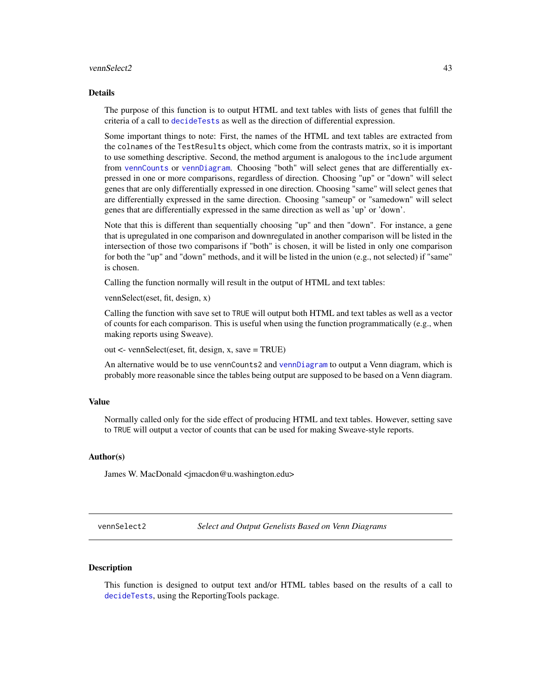#### <span id="page-42-0"></span>vennSelect2 43

#### Details

The purpose of this function is to output HTML and text tables with lists of genes that fulfill the criteria of a call to [decideTests](#page-0-0) as well as the direction of differential expression.

Some important things to note: First, the names of the HTML and text tables are extracted from the colnames of the TestResults object, which come from the contrasts matrix, so it is important to use something descriptive. Second, the method argument is analogous to the include argument from [vennCounts](#page-0-0) or [vennDiagram](#page-0-0). Choosing "both" will select genes that are differentially expressed in one or more comparisons, regardless of direction. Choosing "up" or "down" will select genes that are only differentially expressed in one direction. Choosing "same" will select genes that are differentially expressed in the same direction. Choosing "sameup" or "samedown" will select genes that are differentially expressed in the same direction as well as 'up' or 'down'.

Note that this is different than sequentially choosing "up" and then "down". For instance, a gene that is upregulated in one comparison and downregulated in another comparison will be listed in the intersection of those two comparisons if "both" is chosen, it will be listed in only one comparison for both the "up" and "down" methods, and it will be listed in the union (e.g., not selected) if "same" is chosen.

Calling the function normally will result in the output of HTML and text tables:

vennSelect(eset, fit, design, x)

Calling the function with save set to TRUE will output both HTML and text tables as well as a vector of counts for each comparison. This is useful when using the function programmatically (e.g., when making reports using Sweave).

out <- vennSelect(eset, fit, design, x, save = TRUE)

An alternative would be to use vennCounts2 and [vennDiagram](#page-0-0) to output a Venn diagram, which is probably more reasonable since the tables being output are supposed to be based on a Venn diagram.

#### Value

Normally called only for the side effect of producing HTML and text tables. However, setting save to TRUE will output a vector of counts that can be used for making Sweave-style reports.

#### Author(s)

James W. MacDonald <jmacdon@u.washington.edu>

vennSelect2 *Select and Output Genelists Based on Venn Diagrams*

#### Description

This function is designed to output text and/or HTML tables based on the results of a call to [decideTests](#page-0-0), using the ReportingTools package.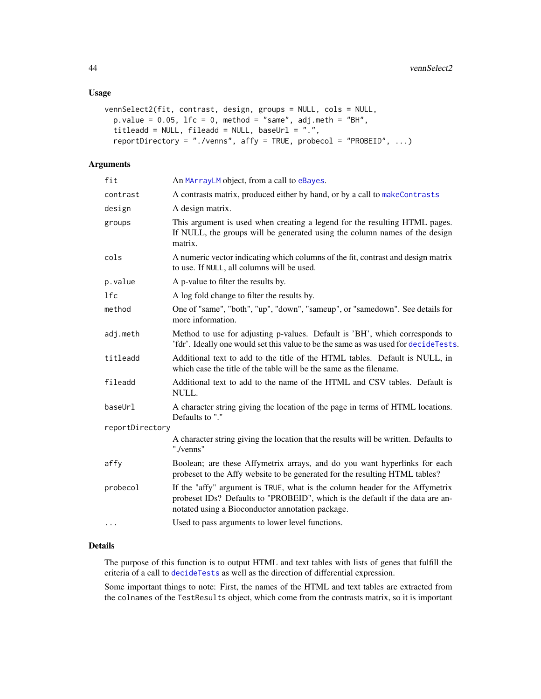```
vennSelect2(fit, contrast, design, groups = NULL, cols = NULL,
 p.value = 0.05, lfc = 0, method = "same", adj.meth = "BH",
  titleadd = NULL, fileadd = NULL, baseUrl = ".",
  reportDirectory = "./venns", affy = TRUE, probecol = "PROBEID", ...)
```
#### Arguments

| fit             | An MArrayLM object, from a call to eBayes.                                                                                                                                                                        |  |  |  |  |
|-----------------|-------------------------------------------------------------------------------------------------------------------------------------------------------------------------------------------------------------------|--|--|--|--|
| contrast        | A contrasts matrix, produced either by hand, or by a call to makeContrasts                                                                                                                                        |  |  |  |  |
| design          | A design matrix.                                                                                                                                                                                                  |  |  |  |  |
| groups          | This argument is used when creating a legend for the resulting HTML pages.<br>If NULL, the groups will be generated using the column names of the design<br>matrix.                                               |  |  |  |  |
| cols            | A numeric vector indicating which columns of the fit, contrast and design matrix<br>to use. If NULL, all columns will be used.                                                                                    |  |  |  |  |
| p.value         | A p-value to filter the results by.                                                                                                                                                                               |  |  |  |  |
| 1fc             | A log fold change to filter the results by.                                                                                                                                                                       |  |  |  |  |
| method          | One of "same", "both", "up", "down", "sameup", or "samedown". See details for<br>more information.                                                                                                                |  |  |  |  |
| adj.meth        | Method to use for adjusting p-values. Default is 'BH', which corresponds to<br>'fdr'. Ideally one would set this value to be the same as was used for decideTests.                                                |  |  |  |  |
| titleadd        | Additional text to add to the title of the HTML tables. Default is NULL, in<br>which case the title of the table will be the same as the filename.                                                                |  |  |  |  |
| fileadd         | Additional text to add to the name of the HTML and CSV tables. Default is<br>NULL.                                                                                                                                |  |  |  |  |
| baseUrl         | A character string giving the location of the page in terms of HTML locations.<br>Defaults to "."                                                                                                                 |  |  |  |  |
| reportDirectory |                                                                                                                                                                                                                   |  |  |  |  |
|                 | A character string giving the location that the results will be written. Defaults to<br>"./venns"                                                                                                                 |  |  |  |  |
| affy            | Boolean; are these Affymetrix arrays, and do you want hyperlinks for each<br>probeset to the Affy website to be generated for the resulting HTML tables?                                                          |  |  |  |  |
| probecol        | If the "affy" argument is TRUE, what is the column header for the Affymetrix<br>probeset IDs? Defaults to "PROBEID", which is the default if the data are an-<br>notated using a Bioconductor annotation package. |  |  |  |  |
| $\cdots$        | Used to pass arguments to lower level functions.                                                                                                                                                                  |  |  |  |  |
|                 |                                                                                                                                                                                                                   |  |  |  |  |

#### Details

The purpose of this function is to output HTML and text tables with lists of genes that fulfill the criteria of a call to [decideTests](#page-0-0) as well as the direction of differential expression.

Some important things to note: First, the names of the HTML and text tables are extracted from the colnames of the TestResults object, which come from the contrasts matrix, so it is important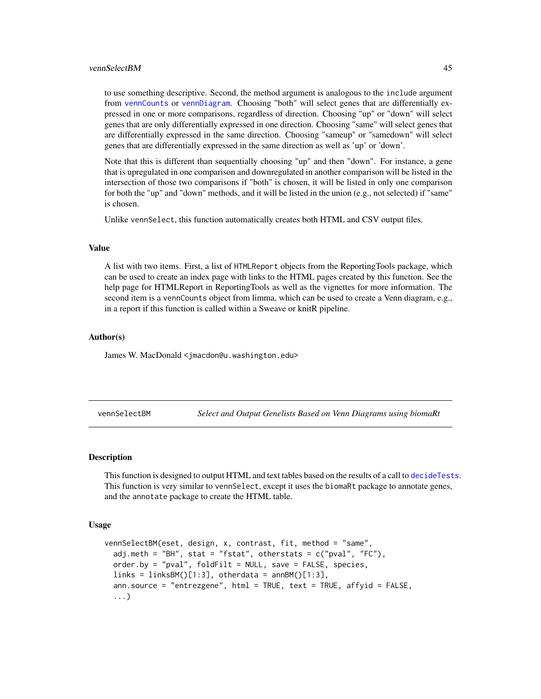#### <span id="page-44-0"></span>vennSelectBM 45

to use something descriptive. Second, the method argument is analogous to the include argument from [vennCounts](#page-0-0) or [vennDiagram](#page-0-0). Choosing "both" will select genes that are differentially expressed in one or more comparisons, regardless of direction. Choosing "up" or "down" will select genes that are only differentially expressed in one direction. Choosing "same" will select genes that are differentially expressed in the same direction. Choosing "sameup" or "samedown" will select genes that are differentially expressed in the same direction as well as 'up' or 'down'.

Note that this is different than sequentially choosing "up" and then "down". For instance, a gene that is upregulated in one comparison and downregulated in another comparison will be listed in the intersection of those two comparisons if "both" is chosen, it will be listed in only one comparison for both the "up" and "down" methods, and it will be listed in the union (e.g., not selected) if "same" is chosen.

Unlike vennSelect, this function automatically creates both HTML and CSV output files.

#### Value

A list with two items. First, a list of HTMLReport objects from the ReportingTools package, which can be used to create an index page with links to the HTML pages created by this function. See the help page for HTMLReport in ReportingTools as well as the vignettes for more information. The second item is a vennCounts object from limma, which can be used to create a Venn diagram, e.g., in a report if this function is called within a Sweave or knitR pipeline.

#### Author(s)

James W. MacDonald <jmacdon@u.washington.edu>

vennSelectBM *Select and Output Genelists Based on Venn Diagrams using biomaRt*

#### **Description**

This function is designed to output HTML and text tables based on the results of a call to [decideTests](#page-0-0). This function is very similar to vennSelect, except it uses the biomaRt package to annotate genes, and the annotate package to create the HTML table.

#### Usage

```
vennSelectBM(eset, design, x, contrast, fit, method = "same",
  adj.meth = "BH", stat = "fstat", otherstats = c("pval", "FC"),order.by = "pval", foldFilt = NULL, save = FALSE, species,
  links = linksBM([1:3], otherdata = annBM([1:3],
  ann.source = "entrezgene", html = TRUE, text = TRUE, affyid = FALSE,
  ...)
```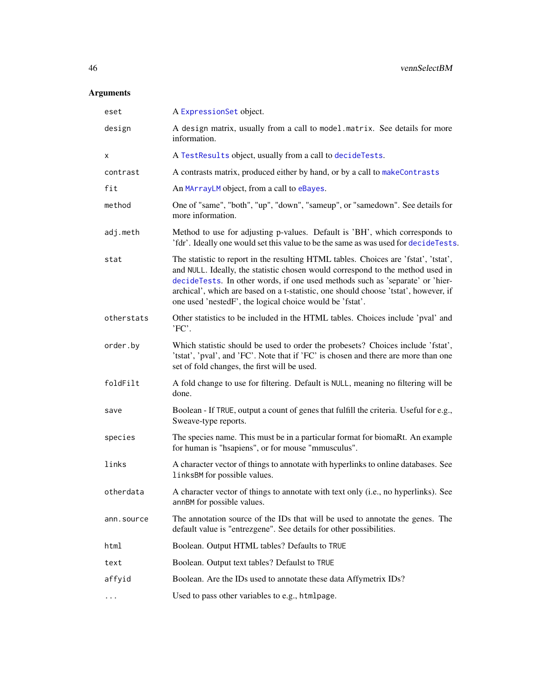| eset       | A ExpressionSet object.                                                                                                                                                                                                                                                                                                                                                                                   |  |  |  |  |  |
|------------|-----------------------------------------------------------------------------------------------------------------------------------------------------------------------------------------------------------------------------------------------------------------------------------------------------------------------------------------------------------------------------------------------------------|--|--|--|--|--|
| design     | A design matrix, usually from a call to model.matrix. See details for more<br>information.                                                                                                                                                                                                                                                                                                                |  |  |  |  |  |
| х          | A TestResults object, usually from a call to decideTests.                                                                                                                                                                                                                                                                                                                                                 |  |  |  |  |  |
| contrast   | A contrasts matrix, produced either by hand, or by a call to makeContrasts                                                                                                                                                                                                                                                                                                                                |  |  |  |  |  |
| fit        | An MArrayLM object, from a call to eBayes.                                                                                                                                                                                                                                                                                                                                                                |  |  |  |  |  |
| method     | One of "same", "both", "up", "down", "sameup", or "samedown". See details for<br>more information.                                                                                                                                                                                                                                                                                                        |  |  |  |  |  |
| adj.meth   | Method to use for adjusting p-values. Default is 'BH', which corresponds to<br>'fdr'. Ideally one would set this value to be the same as was used for decideTests.                                                                                                                                                                                                                                        |  |  |  |  |  |
| stat       | The statistic to report in the resulting HTML tables. Choices are 'fstat', 'tstat',<br>and NULL. Ideally, the statistic chosen would correspond to the method used in<br>decideTests. In other words, if one used methods such as 'separate' or 'hier-<br>archical', which are based on a t-statistic, one should choose 'tstat', however, if<br>one used 'nestedF', the logical choice would be 'fstat'. |  |  |  |  |  |
| otherstats | Other statistics to be included in the HTML tables. Choices include 'pval' and<br>'FC'.                                                                                                                                                                                                                                                                                                                   |  |  |  |  |  |
| order.by   | Which statistic should be used to order the probesets? Choices include 'fstat',<br>'tstat', 'pval', and 'FC'. Note that if 'FC' is chosen and there are more than one<br>set of fold changes, the first will be used.                                                                                                                                                                                     |  |  |  |  |  |
| foldFilt   | A fold change to use for filtering. Default is NULL, meaning no filtering will be<br>done.                                                                                                                                                                                                                                                                                                                |  |  |  |  |  |
| save       | Boolean - If TRUE, output a count of genes that fulfill the criteria. Useful for e.g.,<br>Sweave-type reports.                                                                                                                                                                                                                                                                                            |  |  |  |  |  |
| species    | The species name. This must be in a particular format for biomaRt. An example<br>for human is "hsapiens", or for mouse "mmusculus".                                                                                                                                                                                                                                                                       |  |  |  |  |  |
| links      | A character vector of things to annotate with hyperlinks to online databases. See<br>linksBM for possible values.                                                                                                                                                                                                                                                                                         |  |  |  |  |  |
| otherdata  | A character vector of things to annotate with text only (i.e., no hyperlinks). See<br>annBM for possible values.                                                                                                                                                                                                                                                                                          |  |  |  |  |  |
| ann.source | The annotation source of the IDs that will be used to annotate the genes. The<br>default value is "entrezgene". See details for other possibilities.                                                                                                                                                                                                                                                      |  |  |  |  |  |
| html       | Boolean. Output HTML tables? Defaults to TRUE                                                                                                                                                                                                                                                                                                                                                             |  |  |  |  |  |
| text       | Boolean. Output text tables? Defaulst to TRUE                                                                                                                                                                                                                                                                                                                                                             |  |  |  |  |  |
| affyid     | Boolean. Are the IDs used to annotate these data Affymetrix IDs?                                                                                                                                                                                                                                                                                                                                          |  |  |  |  |  |
| $\cdots$   | Used to pass other variables to e.g., htmlpage.                                                                                                                                                                                                                                                                                                                                                           |  |  |  |  |  |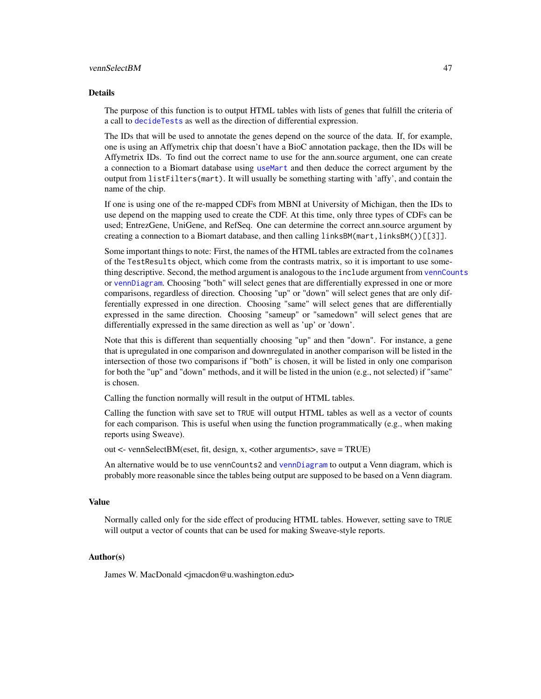#### vennSelectBM 47

#### Details

The purpose of this function is to output HTML tables with lists of genes that fulfill the criteria of a call to [decideTests](#page-0-0) as well as the direction of differential expression.

The IDs that will be used to annotate the genes depend on the source of the data. If, for example, one is using an Affymetrix chip that doesn't have a BioC annotation package, then the IDs will be Affymetrix IDs. To find out the correct name to use for the ann.source argument, one can create a connection to a Biomart database using use Mart and then deduce the correct argument by the output from listFilters(mart). It will usually be something starting with 'affy', and contain the name of the chip.

If one is using one of the re-mapped CDFs from MBNI at University of Michigan, then the IDs to use depend on the mapping used to create the CDF. At this time, only three types of CDFs can be used; EntrezGene, UniGene, and RefSeq. One can determine the correct ann.source argument by creating a connection to a Biomart database, and then calling linksBM(mart,linksBM())[[3]].

Some important things to note: First, the names of the HTML tables are extracted from the colnames of the TestResults object, which come from the contrasts matrix, so it is important to use something descriptive. Second, the method argument is analogous to the include argument from [vennCounts](#page-0-0) or [vennDiagram](#page-0-0). Choosing "both" will select genes that are differentially expressed in one or more comparisons, regardless of direction. Choosing "up" or "down" will select genes that are only differentially expressed in one direction. Choosing "same" will select genes that are differentially expressed in the same direction. Choosing "sameup" or "samedown" will select genes that are differentially expressed in the same direction as well as 'up' or 'down'.

Note that this is different than sequentially choosing "up" and then "down". For instance, a gene that is upregulated in one comparison and downregulated in another comparison will be listed in the intersection of those two comparisons if "both" is chosen, it will be listed in only one comparison for both the "up" and "down" methods, and it will be listed in the union (e.g., not selected) if "same" is chosen.

Calling the function normally will result in the output of HTML tables.

Calling the function with save set to TRUE will output HTML tables as well as a vector of counts for each comparison. This is useful when using the function programmatically (e.g., when making reports using Sweave).

out <- vennSelectBM(eset, fit, design, x, <other arguments>, save = TRUE)

An alternative would be to use vennCounts2 and [vennDiagram](#page-0-0) to output a Venn diagram, which is probably more reasonable since the tables being output are supposed to be based on a Venn diagram.

#### Value

Normally called only for the side effect of producing HTML tables. However, setting save to TRUE will output a vector of counts that can be used for making Sweave-style reports.

#### Author(s)

James W. MacDonald <jmacdon@u.washington.edu>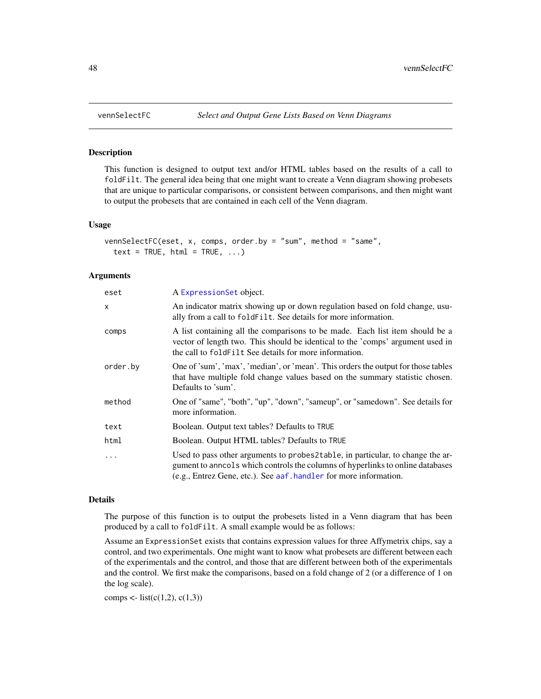#### **Description**

This function is designed to output text and/or HTML tables based on the results of a call to foldFilt. The general idea being that one might want to create a Venn diagram showing probesets that are unique to particular comparisons, or consistent between comparisons, and then might want to output the probesets that are contained in each cell of the Venn diagram.

#### Usage

```
vennSelectFC(eset, x, comps, order.by = "sum", method = "same",
  text = TRUE, html = TRUE, ...)
```
#### Arguments

| eset     | A ExpressionSet object.                                                                                                                                                                                                               |  |  |  |  |
|----------|---------------------------------------------------------------------------------------------------------------------------------------------------------------------------------------------------------------------------------------|--|--|--|--|
| x        | An indicator matrix showing up or down regulation based on fold change, usu-<br>ally from a call to fold Filt. See details for more information.                                                                                      |  |  |  |  |
| comps    | A list containing all the comparisons to be made. Each list item should be a<br>vector of length two. This should be identical to the 'comps' argument used in<br>the call to fold Filt See details for more information.             |  |  |  |  |
| order.bv | One of 'sum', 'max', 'median', or 'mean'. This orders the output for those tables<br>that have multiple fold change values based on the summary statistic chosen.<br>Defaults to 'sum'.                                               |  |  |  |  |
| method   | One of "same", "both", "up", "down", "sameup", or "samedown". See details for<br>more information.                                                                                                                                    |  |  |  |  |
| text     | Boolean. Output text tables? Defaults to TRUE                                                                                                                                                                                         |  |  |  |  |
| html     | Boolean. Output HTML tables? Defaults to TRUE                                                                                                                                                                                         |  |  |  |  |
| .        | Used to pass other arguments to probes2table, in particular, to change the ar-<br>gument to anno ols which controls the columns of hyperlinks to online databases<br>(e.g., Entrez Gene, etc.). See aaf handler for more information. |  |  |  |  |

#### Details

The purpose of this function is to output the probesets listed in a Venn diagram that has been produced by a call to foldFilt. A small example would be as follows:

Assume an ExpressionSet exists that contains expression values for three Affymetrix chips, say a control, and two experimentals. One might want to know what probesets are different between each of the experimentals and the control, and those that are different between both of the experimentals and the control. We first make the comparisons, based on a fold change of 2 (or a difference of 1 on the log scale).

comps <- list(c(1,2), c(1,3))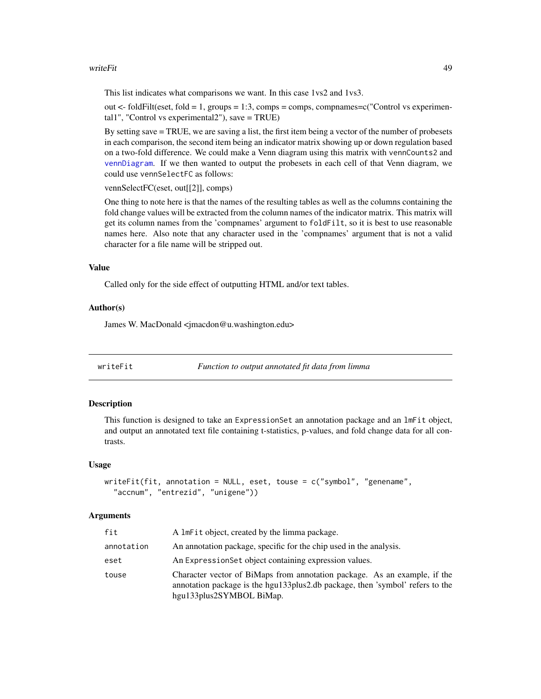#### <span id="page-48-0"></span>writeFit 49

This list indicates what comparisons we want. In this case 1vs2 and 1vs3.

out  $\lt$ - foldFilt(eset, fold = 1, groups = 1:3, comps = comps, compnames=c("Control vs experimental1", "Control vs experimental2"), save = TRUE)

By setting save = TRUE, we are saving a list, the first item being a vector of the number of probesets in each comparison, the second item being an indicator matrix showing up or down regulation based on a two-fold difference. We could make a Venn diagram using this matrix with vennCounts2 and [vennDiagram](#page-0-0). If we then wanted to output the probesets in each cell of that Venn diagram, we could use vennSelectFC as follows:

vennSelectFC(eset, out[[2]], comps)

One thing to note here is that the names of the resulting tables as well as the columns containing the fold change values will be extracted from the column names of the indicator matrix. This matrix will get its column names from the 'compnames' argument to foldFilt, so it is best to use reasonable names here. Also note that any character used in the 'compnames' argument that is not a valid character for a file name will be stripped out.

#### Value

Called only for the side effect of outputting HTML and/or text tables.

#### Author(s)

James W. MacDonald <jmacdon@u.washington.edu>

| writeFit |  |  |  |
|----------|--|--|--|
|          |  |  |  |

Function to output annotated fit data from limma

#### Description

This function is designed to take an ExpressionSet an annotation package and an lmFit object, and output an annotated text file containing t-statistics, p-values, and fold change data for all contrasts.

#### Usage

```
writeFit(fit, annotation = NULL, eset, touse = c("symbol", "genename",
  "accnum", "entrezid", "unigene"))
```

| fit        | A lmFit object, created by the limma package.                                                                                                                                          |
|------------|----------------------------------------------------------------------------------------------------------------------------------------------------------------------------------------|
| annotation | An annotation package, specific for the chip used in the analysis.                                                                                                                     |
| eset       | An Expression Set object containing expression values.                                                                                                                                 |
| touse      | Character vector of BiMaps from annotation package. As an example, if the<br>annotation package is the hgu133plus2.db package, then 'symbol' refers to the<br>hgu133plus2SYMBOL BiMap. |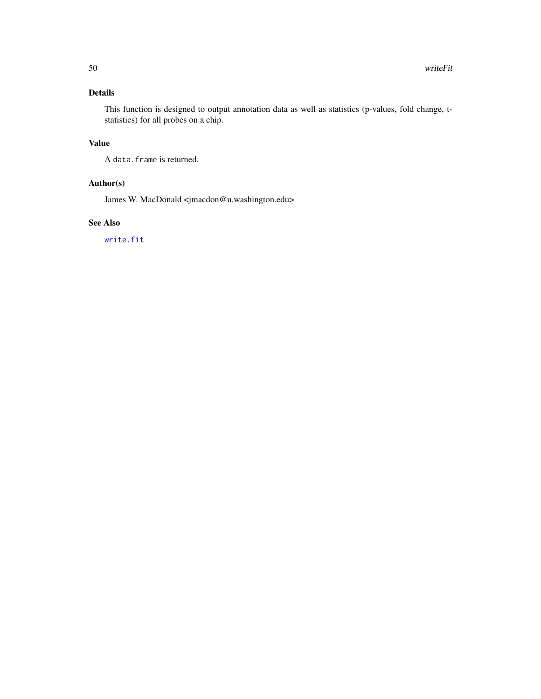#### Details

This function is designed to output annotation data as well as statistics (p-values, fold change, tstatistics) for all probes on a chip.

### Value

A data.frame is returned.

#### Author(s)

James W. MacDonald <jmacdon@u.washington.edu>

#### See Also

[write.fit](#page-0-0)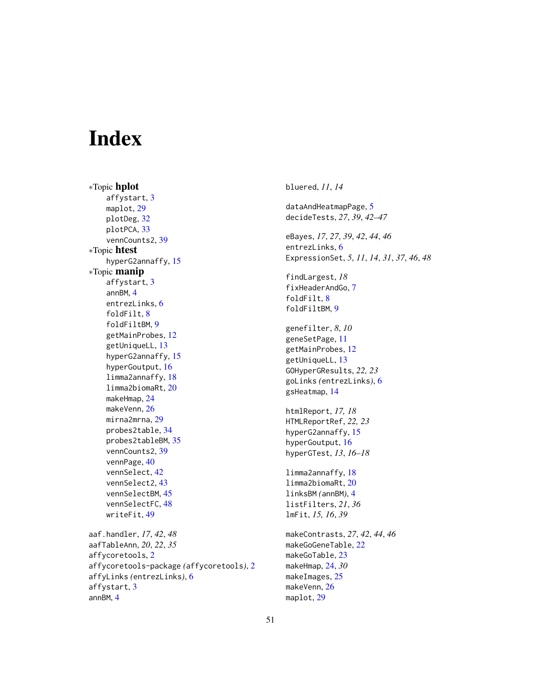# <span id="page-50-0"></span>**Index**

∗Topic hplot affystart, [3](#page-2-0) maplot, [29](#page-28-0) plotDeg, [32](#page-31-0) plotPCA, [33](#page-32-0) vennCounts2, [39](#page-38-0) ∗Topic htest hyperG2annaffy, [15](#page-14-0) ∗Topic manip affystart, [3](#page-2-0) annBM, [4](#page-3-0) entrezLinks, [6](#page-5-0) foldFilt, [8](#page-7-0) foldFiltBM, [9](#page-8-0) getMainProbes, [12](#page-11-0) getUniqueLL, [13](#page-12-0) hyperG2annaffy, [15](#page-14-0) hyperGoutput, [16](#page-15-0) limma2annaffy, [18](#page-17-0) limma2biomaRt, [20](#page-19-0) makeHmap, [24](#page-23-0) makeVenn, [26](#page-25-0) mirna2mrna, [29](#page-28-0) probes2table, [34](#page-33-0) probes2tableBM, [35](#page-34-0) vennCounts2, [39](#page-38-0) vennPage, [40](#page-39-0) vennSelect, [42](#page-41-0) vennSelect2, [43](#page-42-0) vennSelectBM, [45](#page-44-0) vennSelectFC, [48](#page-47-0) writeFit, [49](#page-48-0) aaf.handler, *17*, *42*, *48* aafTableAnn, *20*, *22*, *35* affycoretools, [2](#page-1-0) affycoretools-package *(*affycoretools*)*, [2](#page-1-0) affyLinks *(*entrezLinks*)*, [6](#page-5-0) affystart, [3](#page-2-0)

annBM, [4](#page-3-0)

bluered, *11*, *14* dataAndHeatmapPage, [5](#page-4-0) decideTests, *27*, *39*, *42–47* eBayes, *17*, *27*, *39*, *42*, *44*, *46* entrezLinks, [6](#page-5-0) ExpressionSet, *5*, *11*, *14*, *31*, *37*, *46*, *48* findLargest, *18* fixHeaderAndGo, [7](#page-6-0) foldFilt, [8](#page-7-0) foldFiltBM, [9](#page-8-0) genefilter, *8*, *10* geneSetPage, [11](#page-10-0) getMainProbes, [12](#page-11-0) getUniqueLL, [13](#page-12-0) GOHyperGResults, *22, 23* goLinks *(*entrezLinks*)*, [6](#page-5-0) gsHeatmap, [14](#page-13-0) htmlReport, *17, 18* HTMLReportRef, *22, 23* hyperG2annaffy, [15](#page-14-0) hyperGoutput, [16](#page-15-0) hyperGTest, *13*, *16–18* limma2annaffy, [18](#page-17-0) limma2biomaRt, [20](#page-19-0) linksBM *(*annBM*)*, [4](#page-3-0) listFilters, *21*, *36* lmFit, *15, 16*, *39* makeContrasts, *27*, *42*, *44*, *46* makeGoGeneTable, [22](#page-21-0) makeGoTable, [23](#page-22-0) makeHmap, [24,](#page-23-0) *30* makeImages, [25](#page-24-0) makeVenn, [26](#page-25-0) maplot, [29](#page-28-0)